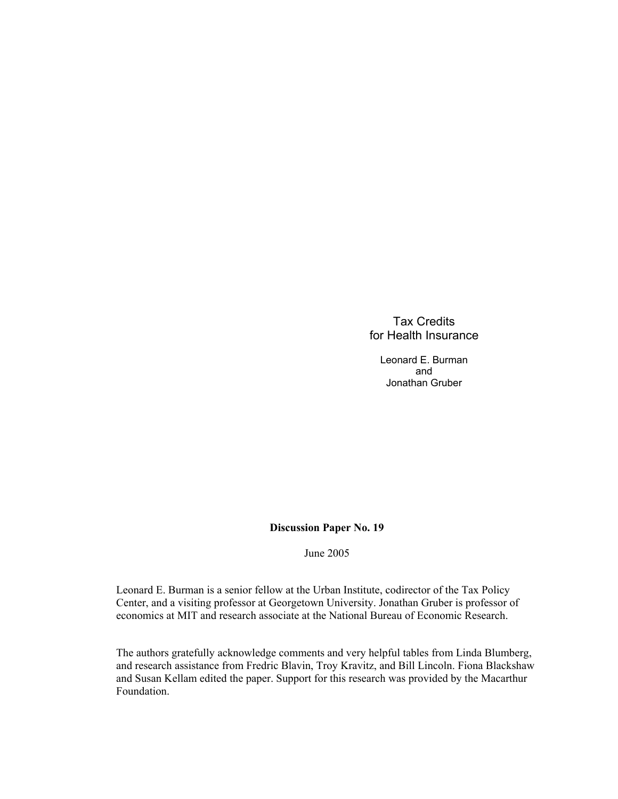## Tax Credits for Health Insurance

Leonard E. Burman and Jonathan Gruber

#### **Discussion Paper No. 19**

June 2005

Leonard E. Burman is a senior fellow at the Urban Institute, codirector of the Tax Policy Center, and a visiting professor at Georgetown University. Jonathan Gruber is professor of economics at MIT and research associate at the National Bureau of Economic Research.

The authors gratefully acknowledge comments and very helpful tables from Linda Blumberg, and research assistance from Fredric Blavin, Troy Kravitz, and Bill Lincoln. Fiona Blackshaw and Susan Kellam edited the paper. Support for this research was provided by the Macarthur Foundation.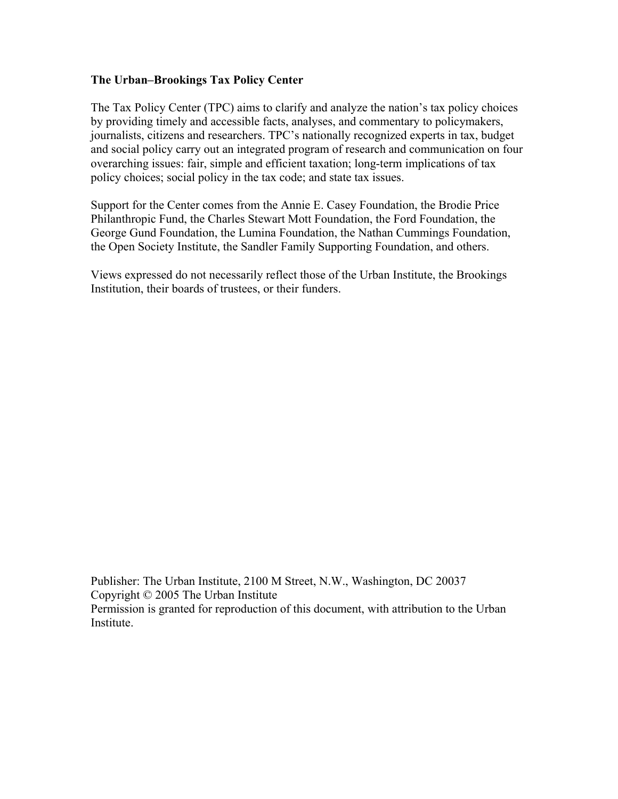## **The Urban–Brookings Tax Policy Center**

The Tax Policy Center (TPC) aims to clarify and analyze the nation's tax policy choices by providing timely and accessible facts, analyses, and commentary to policymakers, journalists, citizens and researchers. TPC's nationally recognized experts in tax, budget and social policy carry out an integrated program of research and communication on four overarching issues: fair, simple and efficient taxation; long-term implications of tax policy choices; social policy in the tax code; and state tax issues.

Support for the Center comes from the Annie E. Casey Foundation, the Brodie Price Philanthropic Fund, the Charles Stewart Mott Foundation, the Ford Foundation, the George Gund Foundation, the Lumina Foundation, the Nathan Cummings Foundation, the Open Society Institute, the Sandler Family Supporting Foundation, and others.

Views expressed do not necessarily reflect those of the Urban Institute, the Brookings Institution, their boards of trustees, or their funders.

Publisher: The Urban Institute, 2100 M Street, N.W., Washington, DC 20037 Copyright © 2005 The Urban Institute Permission is granted for reproduction of this document, with attribution to the Urban Institute.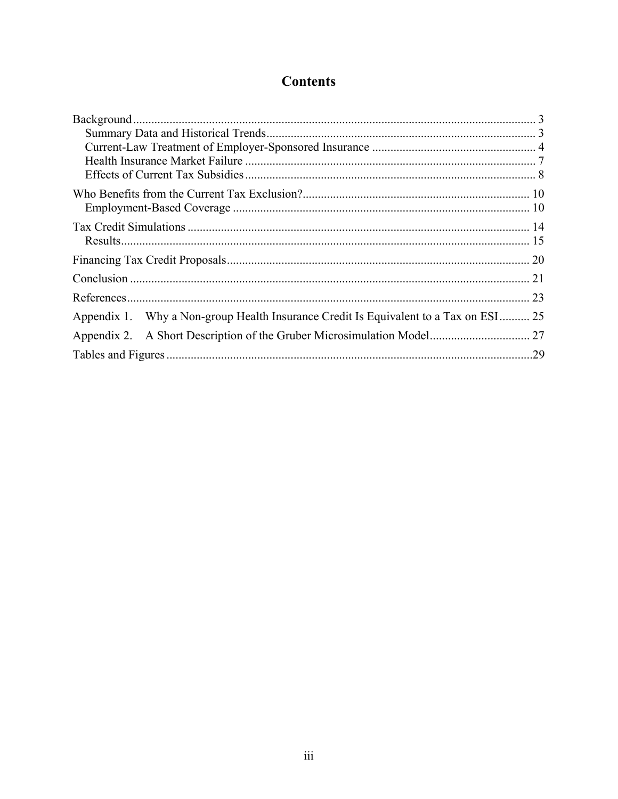# **Contents**

| 25<br>Why a Non-group Health Insurance Credit Is Equivalent to a Tax on ESI<br>Appendix 1. |
|--------------------------------------------------------------------------------------------|
| 27<br>Appendix 2.                                                                          |
| .29                                                                                        |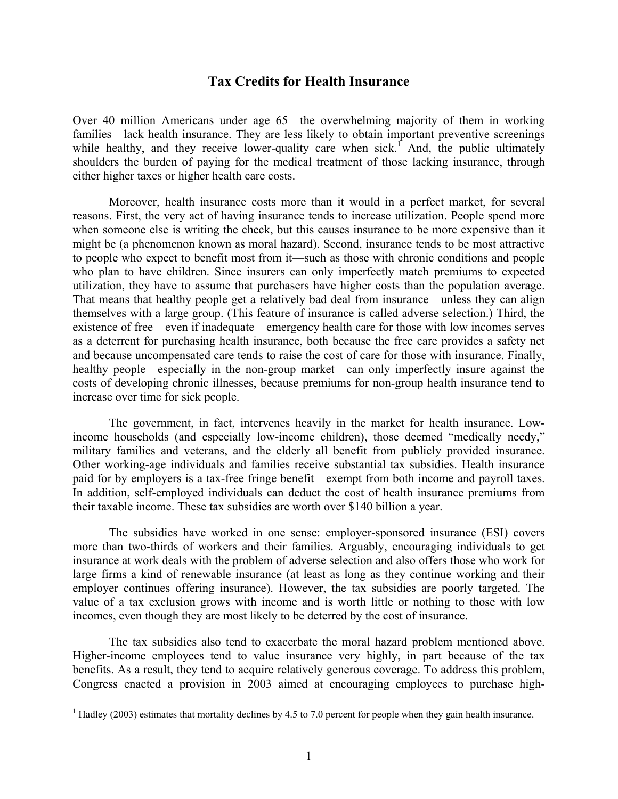# **Tax Credits for Health Insurance**

Over 40 million Americans under age 65—the overwhelming majority of them in working families—lack health insurance. They are less likely to obtain important preventive screenings while healthy, and they receive lower-quality care when sick.<sup> $\int$ </sup> And, the public ultimately shoulders the burden of paying for the medical treatment of those lacking insurance, through either higher taxes or higher health care costs.

Moreover, health insurance costs more than it would in a perfect market, for several reasons. First, the very act of having insurance tends to increase utilization. People spend more when someone else is writing the check, but this causes insurance to be more expensive than it might be (a phenomenon known as moral hazard). Second, insurance tends to be most attractive to people who expect to benefit most from it—such as those with chronic conditions and people who plan to have children. Since insurers can only imperfectly match premiums to expected utilization, they have to assume that purchasers have higher costs than the population average. That means that healthy people get a relatively bad deal from insurance—unless they can align themselves with a large group. (This feature of insurance is called adverse selection.) Third, the existence of free—even if inadequate—emergency health care for those with low incomes serves as a deterrent for purchasing health insurance, both because the free care provides a safety net and because uncompensated care tends to raise the cost of care for those with insurance. Finally, healthy people—especially in the non-group market—can only imperfectly insure against the costs of developing chronic illnesses, because premiums for non-group health insurance tend to increase over time for sick people.

The government, in fact, intervenes heavily in the market for health insurance. Lowincome households (and especially low-income children), those deemed "medically needy," military families and veterans, and the elderly all benefit from publicly provided insurance. Other working-age individuals and families receive substantial tax subsidies. Health insurance paid for by employers is a tax-free fringe benefit—exempt from both income and payroll taxes. In addition, self-employed individuals can deduct the cost of health insurance premiums from their taxable income. These tax subsidies are worth over \$140 billion a year.

The subsidies have worked in one sense: employer-sponsored insurance (ESI) covers more than two-thirds of workers and their families. Arguably, encouraging individuals to get insurance at work deals with the problem of adverse selection and also offers those who work for large firms a kind of renewable insurance (at least as long as they continue working and their employer continues offering insurance). However, the tax subsidies are poorly targeted. The value of a tax exclusion grows with income and is worth little or nothing to those with low incomes, even though they are most likely to be deterred by the cost of insurance.

The tax subsidies also tend to exacerbate the moral hazard problem mentioned above. Higher-income employees tend to value insurance very highly, in part because of the tax benefits. As a result, they tend to acquire relatively generous coverage. To address this problem, Congress enacted a provision in 2003 aimed at encouraging employees to purchase high-

 $\overline{a}$ 

 $<sup>1</sup>$  Hadley (2003) estimates that mortality declines by 4.5 to 7.0 percent for people when they gain health insurance.</sup>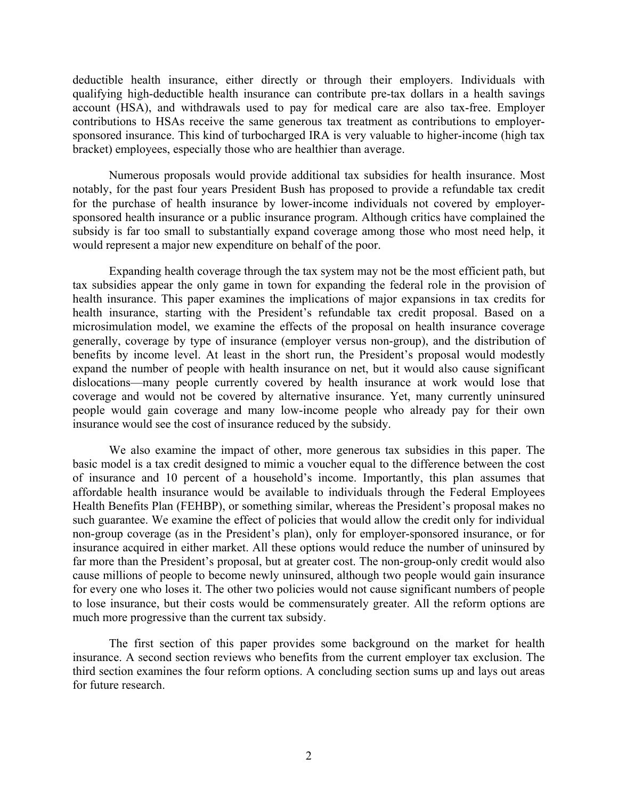deductible health insurance, either directly or through their employers. Individuals with qualifying high-deductible health insurance can contribute pre-tax dollars in a health savings account (HSA), and withdrawals used to pay for medical care are also tax-free. Employer contributions to HSAs receive the same generous tax treatment as contributions to employersponsored insurance. This kind of turbocharged IRA is very valuable to higher-income (high tax bracket) employees, especially those who are healthier than average.

Numerous proposals would provide additional tax subsidies for health insurance. Most notably, for the past four years President Bush has proposed to provide a refundable tax credit for the purchase of health insurance by lower-income individuals not covered by employersponsored health insurance or a public insurance program. Although critics have complained the subsidy is far too small to substantially expand coverage among those who most need help, it would represent a major new expenditure on behalf of the poor.

Expanding health coverage through the tax system may not be the most efficient path, but tax subsidies appear the only game in town for expanding the federal role in the provision of health insurance. This paper examines the implications of major expansions in tax credits for health insurance, starting with the President's refundable tax credit proposal. Based on a microsimulation model, we examine the effects of the proposal on health insurance coverage generally, coverage by type of insurance (employer versus non-group), and the distribution of benefits by income level. At least in the short run, the President's proposal would modestly expand the number of people with health insurance on net, but it would also cause significant dislocations—many people currently covered by health insurance at work would lose that coverage and would not be covered by alternative insurance. Yet, many currently uninsured people would gain coverage and many low-income people who already pay for their own insurance would see the cost of insurance reduced by the subsidy.

We also examine the impact of other, more generous tax subsidies in this paper. The basic model is a tax credit designed to mimic a voucher equal to the difference between the cost of insurance and 10 percent of a household's income. Importantly, this plan assumes that affordable health insurance would be available to individuals through the Federal Employees Health Benefits Plan (FEHBP), or something similar, whereas the President's proposal makes no such guarantee. We examine the effect of policies that would allow the credit only for individual non-group coverage (as in the President's plan), only for employer-sponsored insurance, or for insurance acquired in either market. All these options would reduce the number of uninsured by far more than the President's proposal, but at greater cost. The non-group-only credit would also cause millions of people to become newly uninsured, although two people would gain insurance for every one who loses it. The other two policies would not cause significant numbers of people to lose insurance, but their costs would be commensurately greater. All the reform options are much more progressive than the current tax subsidy.

The first section of this paper provides some background on the market for health insurance. A second section reviews who benefits from the current employer tax exclusion. The third section examines the four reform options. A concluding section sums up and lays out areas for future research.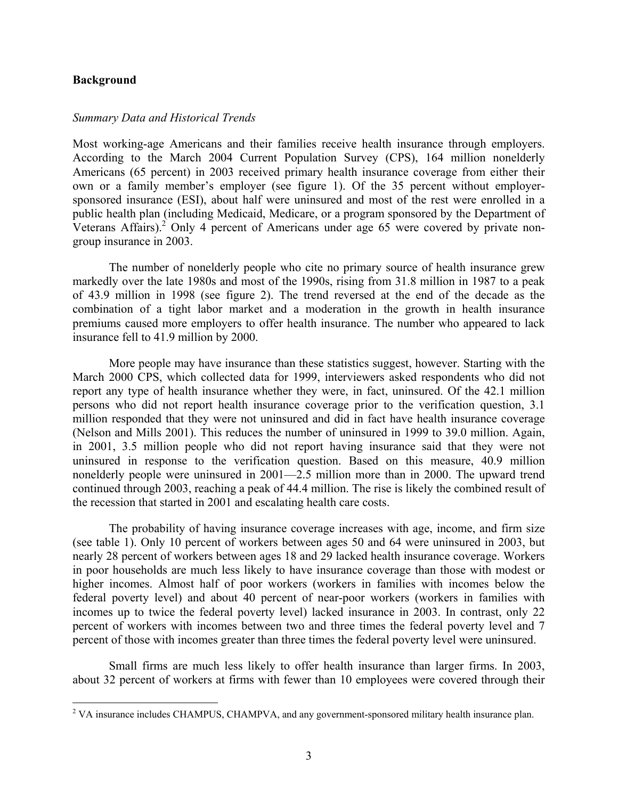#### **Background**

 $\overline{a}$ 

#### *Summary Data and Historical Trends*

Most working-age Americans and their families receive health insurance through employers. According to the March 2004 Current Population Survey (CPS), 164 million nonelderly Americans (65 percent) in 2003 received primary health insurance coverage from either their own or a family member's employer (see figure 1). Of the 35 percent without employersponsored insurance (ESI), about half were uninsured and most of the rest were enrolled in a public health plan (including Medicaid, Medicare, or a program sponsored by the Department of Veterans Affairs).<sup>2</sup> Only 4 percent of Americans under age 65 were covered by private nongroup insurance in 2003.

The number of nonelderly people who cite no primary source of health insurance grew markedly over the late 1980s and most of the 1990s, rising from 31.8 million in 1987 to a peak of 43.9 million in 1998 (see figure 2). The trend reversed at the end of the decade as the combination of a tight labor market and a moderation in the growth in health insurance premiums caused more employers to offer health insurance. The number who appeared to lack insurance fell to 41.9 million by 2000.

More people may have insurance than these statistics suggest, however. Starting with the March 2000 CPS, which collected data for 1999, interviewers asked respondents who did not report any type of health insurance whether they were, in fact, uninsured. Of the 42.1 million persons who did not report health insurance coverage prior to the verification question, 3.1 million responded that they were not uninsured and did in fact have health insurance coverage (Nelson and Mills 2001). This reduces the number of uninsured in 1999 to 39.0 million. Again, in 2001, 3.5 million people who did not report having insurance said that they were not uninsured in response to the verification question. Based on this measure, 40.9 million nonelderly people were uninsured in 2001—2.5 million more than in 2000. The upward trend continued through 2003, reaching a peak of 44.4 million. The rise is likely the combined result of the recession that started in 2001 and escalating health care costs.

The probability of having insurance coverage increases with age, income, and firm size (see table 1). Only 10 percent of workers between ages 50 and 64 were uninsured in 2003, but nearly 28 percent of workers between ages 18 and 29 lacked health insurance coverage. Workers in poor households are much less likely to have insurance coverage than those with modest or higher incomes. Almost half of poor workers (workers in families with incomes below the federal poverty level) and about 40 percent of near-poor workers (workers in families with incomes up to twice the federal poverty level) lacked insurance in 2003. In contrast, only 22 percent of workers with incomes between two and three times the federal poverty level and 7 percent of those with incomes greater than three times the federal poverty level were uninsured.

Small firms are much less likely to offer health insurance than larger firms. In 2003, about 32 percent of workers at firms with fewer than 10 employees were covered through their

<sup>&</sup>lt;sup>2</sup> VA insurance includes CHAMPUS, CHAMPVA, and any government-sponsored military health insurance plan.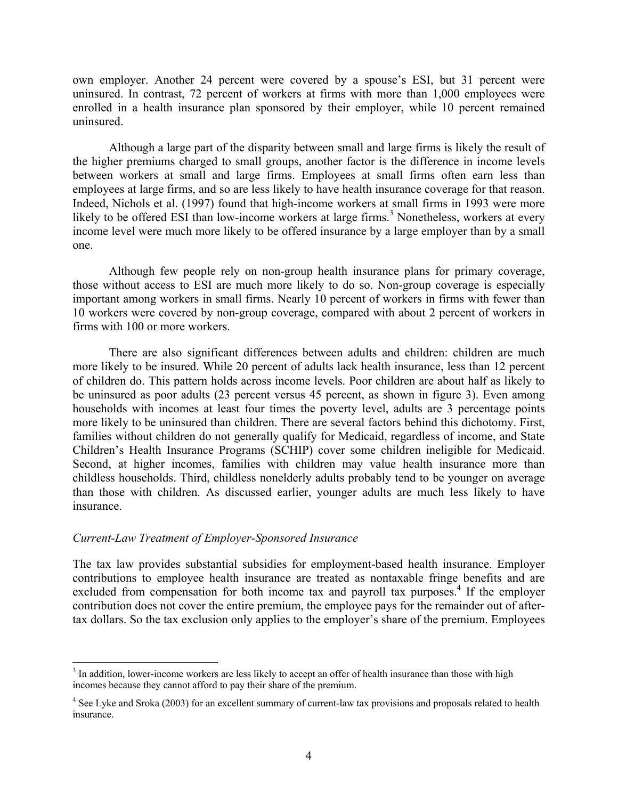own employer. Another 24 percent were covered by a spouse's ESI, but 31 percent were uninsured. In contrast, 72 percent of workers at firms with more than 1,000 employees were enrolled in a health insurance plan sponsored by their employer, while 10 percent remained uninsured.

Although a large part of the disparity between small and large firms is likely the result of the higher premiums charged to small groups, another factor is the difference in income levels between workers at small and large firms. Employees at small firms often earn less than employees at large firms, and so are less likely to have health insurance coverage for that reason. Indeed, Nichols et al. (1997) found that high-income workers at small firms in 1993 were more likely to be offered ESI than low-income workers at large firms.<sup>3</sup> Nonetheless, workers at every income level were much more likely to be offered insurance by a large employer than by a small one.

Although few people rely on non-group health insurance plans for primary coverage, those without access to ESI are much more likely to do so. Non-group coverage is especially important among workers in small firms. Nearly 10 percent of workers in firms with fewer than 10 workers were covered by non-group coverage, compared with about 2 percent of workers in firms with 100 or more workers.

There are also significant differences between adults and children: children are much more likely to be insured. While 20 percent of adults lack health insurance, less than 12 percent of children do. This pattern holds across income levels. Poor children are about half as likely to be uninsured as poor adults (23 percent versus 45 percent, as shown in figure 3). Even among households with incomes at least four times the poverty level, adults are 3 percentage points more likely to be uninsured than children. There are several factors behind this dichotomy. First, families without children do not generally qualify for Medicaid, regardless of income, and State Children's Health Insurance Programs (SCHIP) cover some children ineligible for Medicaid. Second, at higher incomes, families with children may value health insurance more than childless households. Third, childless nonelderly adults probably tend to be younger on average than those with children. As discussed earlier, younger adults are much less likely to have insurance.

#### *Current-Law Treatment of Employer-Sponsored Insurance*

 $\overline{a}$ 

The tax law provides substantial subsidies for employment-based health insurance. Employer contributions to employee health insurance are treated as nontaxable fringe benefits and are excluded from compensation for both income tax and payroll tax purposes.<sup>4</sup> If the employer contribution does not cover the entire premium, the employee pays for the remainder out of aftertax dollars. So the tax exclusion only applies to the employer's share of the premium. Employees

 $3$  In addition, lower-income workers are less likely to accept an offer of health insurance than those with high incomes because they cannot afford to pay their share of the premium.

<sup>&</sup>lt;sup>4</sup> See Lyke and Sroka (2003) for an excellent summary of current-law tax provisions and proposals related to health insurance.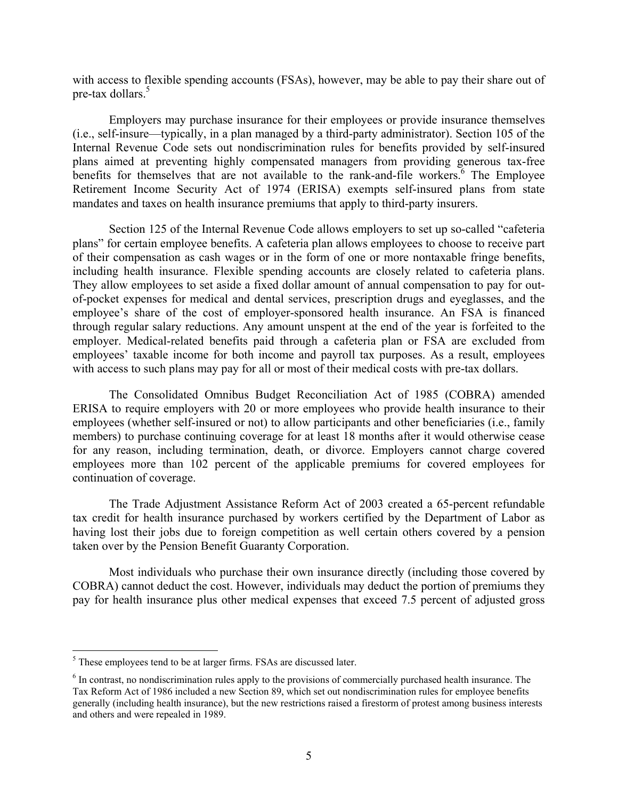with access to flexible spending accounts (FSAs), however, may be able to pay their share out of pre-tax dollars.<sup>5</sup>

Employers may purchase insurance for their employees or provide insurance themselves (i.e., self-insure—typically, in a plan managed by a third-party administrator). Section 105 of the Internal Revenue Code sets out nondiscrimination rules for benefits provided by self-insured plans aimed at preventing highly compensated managers from providing generous tax-free benefits for themselves that are not available to the rank-and-file workers.<sup>6</sup> The Employee Retirement Income Security Act of 1974 (ERISA) exempts self-insured plans from state mandates and taxes on health insurance premiums that apply to third-party insurers.

Section 125 of the Internal Revenue Code allows employers to set up so-called "cafeteria plans" for certain employee benefits. A cafeteria plan allows employees to choose to receive part of their compensation as cash wages or in the form of one or more nontaxable fringe benefits, including health insurance. Flexible spending accounts are closely related to cafeteria plans. They allow employees to set aside a fixed dollar amount of annual compensation to pay for outof-pocket expenses for medical and dental services, prescription drugs and eyeglasses, and the employee's share of the cost of employer-sponsored health insurance. An FSA is financed through regular salary reductions. Any amount unspent at the end of the year is forfeited to the employer. Medical-related benefits paid through a cafeteria plan or FSA are excluded from employees' taxable income for both income and payroll tax purposes. As a result, employees with access to such plans may pay for all or most of their medical costs with pre-tax dollars.

The Consolidated Omnibus Budget Reconciliation Act of 1985 (COBRA) amended ERISA to require employers with 20 or more employees who provide health insurance to their employees (whether self-insured or not) to allow participants and other beneficiaries (i.e., family members) to purchase continuing coverage for at least 18 months after it would otherwise cease for any reason, including termination, death, or divorce. Employers cannot charge covered employees more than 102 percent of the applicable premiums for covered employees for continuation of coverage.

The Trade Adjustment Assistance Reform Act of 2003 created a 65-percent refundable tax credit for health insurance purchased by workers certified by the Department of Labor as having lost their jobs due to foreign competition as well certain others covered by a pension taken over by the Pension Benefit Guaranty Corporation.

Most individuals who purchase their own insurance directly (including those covered by COBRA) cannot deduct the cost. However, individuals may deduct the portion of premiums they pay for health insurance plus other medical expenses that exceed 7.5 percent of adjusted gross

<sup>&</sup>lt;sup>5</sup>These employees tend to be at larger firms. FSAs are discussed later.

 $<sup>6</sup>$  In contrast, no nondiscrimination rules apply to the provisions of commercially purchased health insurance. The</sup> Tax Reform Act of 1986 included a new Section 89, which set out nondiscrimination rules for employee benefits generally (including health insurance), but the new restrictions raised a firestorm of protest among business interests and others and were repealed in 1989.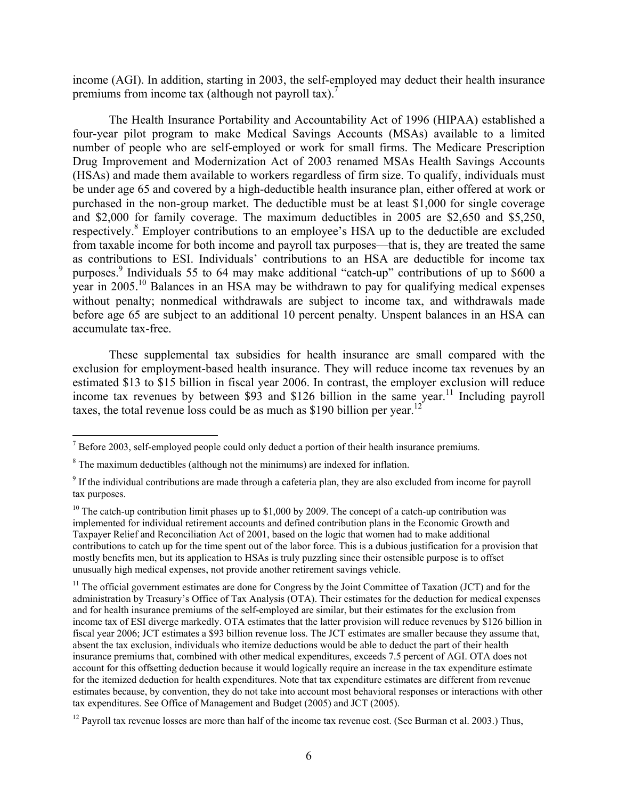income (AGI). In addition, starting in 2003, the self-employed may deduct their health insurance premiums from income tax (although not payroll tax).<sup>7</sup>

The Health Insurance Portability and Accountability Act of 1996 (HIPAA) established a four-year pilot program to make Medical Savings Accounts (MSAs) available to a limited number of people who are self-employed or work for small firms. The Medicare Prescription Drug Improvement and Modernization Act of 2003 renamed MSAs Health Savings Accounts (HSAs) and made them available to workers regardless of firm size. To qualify, individuals must be under age 65 and covered by a high-deductible health insurance plan, either offered at work or purchased in the non-group market. The deductible must be at least \$1,000 for single coverage and \$2,000 for family coverage. The maximum deductibles in 2005 are \$2,650 and \$5,250, respectively.<sup>8</sup> Employer contributions to an employee's HSA up to the deductible are excluded from taxable income for both income and payroll tax purposes—that is, they are treated the same as contributions to ESI. Individuals' contributions to an HSA are deductible for income tax purposes.<sup>9</sup> Individuals 55 to 64 may make additional "catch-up" contributions of up to \$600 a year in 2005.10 Balances in an HSA may be withdrawn to pay for qualifying medical expenses without penalty; nonmedical withdrawals are subject to income tax, and withdrawals made before age 65 are subject to an additional 10 percent penalty. Unspent balances in an HSA can accumulate tax-free.

These supplemental tax subsidies for health insurance are small compared with the exclusion for employment-based health insurance. They will reduce income tax revenues by an estimated \$13 to \$15 billion in fiscal year 2006. In contrast, the employer exclusion will reduce income tax revenues by between  $$93$  and  $$126$  billion in the same year.<sup>11</sup> Including payroll taxes, the total revenue loss could be as much as \$190 billion per year.<sup>12</sup>

<sup>&</sup>lt;sup>7</sup> Before 2003, self-employed people could only deduct a portion of their health insurance premiums.

 $8$  The maximum deductibles (although not the minimums) are indexed for inflation.

<sup>&</sup>lt;sup>9</sup> If the individual contributions are made through a cafeteria plan, they are also excluded from income for payroll tax purposes.

<sup>&</sup>lt;sup>10</sup> The catch-up contribution limit phases up to \$1,000 by 2009. The concept of a catch-up contribution was implemented for individual retirement accounts and defined contribution plans in the Economic Growth and Taxpayer Relief and Reconciliation Act of 2001, based on the logic that women had to make additional contributions to catch up for the time spent out of the labor force. This is a dubious justification for a provision that mostly benefits men, but its application to HSAs is truly puzzling since their ostensible purpose is to offset unusually high medical expenses, not provide another retirement savings vehicle.

<sup>&</sup>lt;sup>11</sup> The official government estimates are done for Congress by the Joint Committee of Taxation (JCT) and for the administration by Treasury's Office of Tax Analysis (OTA). Their estimates for the deduction for medical expenses and for health insurance premiums of the self-employed are similar, but their estimates for the exclusion from income tax of ESI diverge markedly. OTA estimates that the latter provision will reduce revenues by \$126 billion in fiscal year 2006; JCT estimates a \$93 billion revenue loss. The JCT estimates are smaller because they assume that, absent the tax exclusion, individuals who itemize deductions would be able to deduct the part of their health insurance premiums that, combined with other medical expenditures, exceeds 7.5 percent of AGI. OTA does not account for this offsetting deduction because it would logically require an increase in the tax expenditure estimate for the itemized deduction for health expenditures. Note that tax expenditure estimates are different from revenue estimates because, by convention, they do not take into account most behavioral responses or interactions with other tax expenditures. See Office of Management and Budget (2005) and JCT (2005).

 $12$  Payroll tax revenue losses are more than half of the income tax revenue cost. (See Burman et al. 2003.) Thus,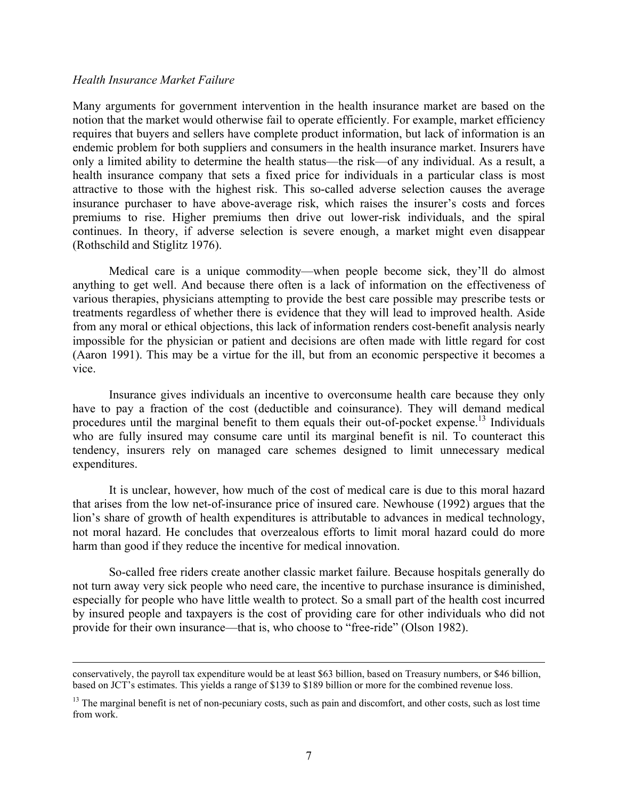#### *Health Insurance Market Failure*

Many arguments for government intervention in the health insurance market are based on the notion that the market would otherwise fail to operate efficiently. For example, market efficiency requires that buyers and sellers have complete product information, but lack of information is an endemic problem for both suppliers and consumers in the health insurance market. Insurers have only a limited ability to determine the health status—the risk—of any individual. As a result, a health insurance company that sets a fixed price for individuals in a particular class is most attractive to those with the highest risk. This so-called adverse selection causes the average insurance purchaser to have above-average risk, which raises the insurer's costs and forces premiums to rise. Higher premiums then drive out lower-risk individuals, and the spiral continues. In theory, if adverse selection is severe enough, a market might even disappear (Rothschild and Stiglitz 1976).

Medical care is a unique commodity—when people become sick, they'll do almost anything to get well. And because there often is a lack of information on the effectiveness of various therapies, physicians attempting to provide the best care possible may prescribe tests or treatments regardless of whether there is evidence that they will lead to improved health. Aside from any moral or ethical objections, this lack of information renders cost-benefit analysis nearly impossible for the physician or patient and decisions are often made with little regard for cost (Aaron 1991). This may be a virtue for the ill, but from an economic perspective it becomes a vice.

Insurance gives individuals an incentive to overconsume health care because they only have to pay a fraction of the cost (deductible and coinsurance). They will demand medical procedures until the marginal benefit to them equals their out-of-pocket expense.<sup>13</sup> Individuals who are fully insured may consume care until its marginal benefit is nil. To counteract this tendency, insurers rely on managed care schemes designed to limit unnecessary medical expenditures.

It is unclear, however, how much of the cost of medical care is due to this moral hazard that arises from the low net-of-insurance price of insured care. Newhouse (1992) argues that the lion's share of growth of health expenditures is attributable to advances in medical technology, not moral hazard. He concludes that overzealous efforts to limit moral hazard could do more harm than good if they reduce the incentive for medical innovation.

So-called free riders create another classic market failure. Because hospitals generally do not turn away very sick people who need care, the incentive to purchase insurance is diminished, especially for people who have little wealth to protect. So a small part of the health cost incurred by insured people and taxpayers is the cost of providing care for other individuals who did not provide for their own insurance—that is, who choose to "free-ride" (Olson 1982).

conservatively, the payroll tax expenditure would be at least \$63 billion, based on Treasury numbers, or \$46 billion, based on JCT's estimates. This yields a range of \$139 to \$189 billion or more for the combined revenue loss.

<sup>&</sup>lt;sup>13</sup> The marginal benefit is net of non-pecuniary costs, such as pain and discomfort, and other costs, such as lost time from work.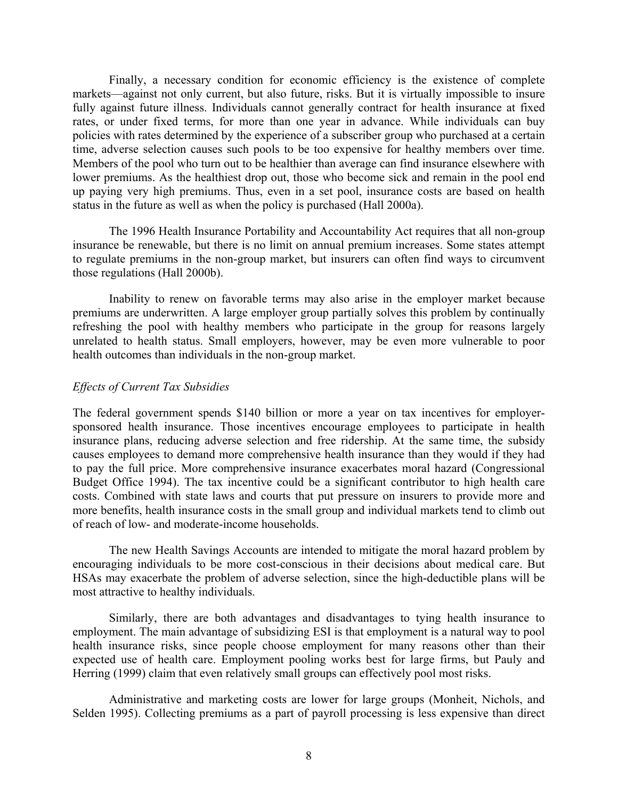Finally, a necessary condition for economic efficiency is the existence of complete markets—against not only current, but also future, risks. But it is virtually impossible to insure fully against future illness. Individuals cannot generally contract for health insurance at fixed rates, or under fixed terms, for more than one year in advance. While individuals can buy policies with rates determined by the experience of a subscriber group who purchased at a certain time, adverse selection causes such pools to be too expensive for healthy members over time. Members of the pool who turn out to be healthier than average can find insurance elsewhere with lower premiums. As the healthiest drop out, those who become sick and remain in the pool end up paying very high premiums. Thus, even in a set pool, insurance costs are based on health status in the future as well as when the policy is purchased (Hall 2000a).

The 1996 Health Insurance Portability and Accountability Act requires that all non-group insurance be renewable, but there is no limit on annual premium increases. Some states attempt to regulate premiums in the non-group market, but insurers can often find ways to circumvent those regulations (Hall 2000b).

Inability to renew on favorable terms may also arise in the employer market because premiums are underwritten. A large employer group partially solves this problem by continually refreshing the pool with healthy members who participate in the group for reasons largely unrelated to health status. Small employers, however, may be even more vulnerable to poor health outcomes than individuals in the non-group market.

#### *Effects of Current Tax Subsidies*

The federal government spends \$140 billion or more a year on tax incentives for employersponsored health insurance. Those incentives encourage employees to participate in health insurance plans, reducing adverse selection and free ridership. At the same time, the subsidy causes employees to demand more comprehensive health insurance than they would if they had to pay the full price. More comprehensive insurance exacerbates moral hazard (Congressional Budget Office 1994). The tax incentive could be a significant contributor to high health care costs. Combined with state laws and courts that put pressure on insurers to provide more and more benefits, health insurance costs in the small group and individual markets tend to climb out of reach of low- and moderate-income households.

The new Health Savings Accounts are intended to mitigate the moral hazard problem by encouraging individuals to be more cost-conscious in their decisions about medical care. But HSAs may exacerbate the problem of adverse selection, since the high-deductible plans will be most attractive to healthy individuals.

Similarly, there are both advantages and disadvantages to tying health insurance to employment. The main advantage of subsidizing ESI is that employment is a natural way to pool health insurance risks, since people choose employment for many reasons other than their expected use of health care. Employment pooling works best for large firms, but Pauly and Herring (1999) claim that even relatively small groups can effectively pool most risks.

Administrative and marketing costs are lower for large groups (Monheit, Nichols, and Selden 1995). Collecting premiums as a part of payroll processing is less expensive than direct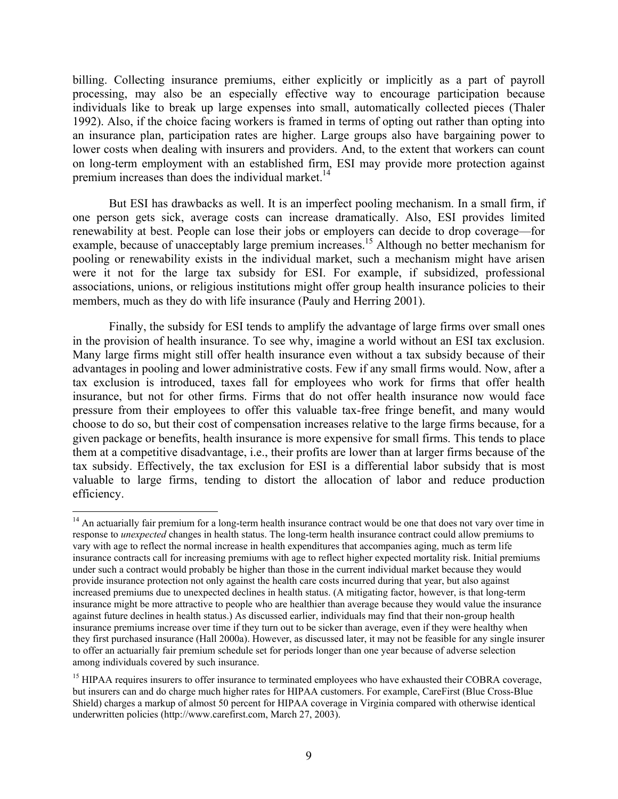billing. Collecting insurance premiums, either explicitly or implicitly as a part of payroll processing, may also be an especially effective way to encourage participation because individuals like to break up large expenses into small, automatically collected pieces (Thaler 1992). Also, if the choice facing workers is framed in terms of opting out rather than opting into an insurance plan, participation rates are higher. Large groups also have bargaining power to lower costs when dealing with insurers and providers. And, to the extent that workers can count on long-term employment with an established firm, ESI may provide more protection against premium increases than does the individual market.<sup>14</sup>

But ESI has drawbacks as well. It is an imperfect pooling mechanism. In a small firm, if one person gets sick, average costs can increase dramatically. Also, ESI provides limited renewability at best. People can lose their jobs or employers can decide to drop coverage—for example, because of unacceptably large premium increases.<sup>15</sup> Although no better mechanism for pooling or renewability exists in the individual market, such a mechanism might have arisen were it not for the large tax subsidy for ESI. For example, if subsidized, professional associations, unions, or religious institutions might offer group health insurance policies to their members, much as they do with life insurance (Pauly and Herring 2001).

Finally, the subsidy for ESI tends to amplify the advantage of large firms over small ones in the provision of health insurance. To see why, imagine a world without an ESI tax exclusion. Many large firms might still offer health insurance even without a tax subsidy because of their advantages in pooling and lower administrative costs. Few if any small firms would. Now, after a tax exclusion is introduced, taxes fall for employees who work for firms that offer health insurance, but not for other firms. Firms that do not offer health insurance now would face pressure from their employees to offer this valuable tax-free fringe benefit, and many would choose to do so, but their cost of compensation increases relative to the large firms because, for a given package or benefits, health insurance is more expensive for small firms. This tends to place them at a competitive disadvantage, i.e., their profits are lower than at larger firms because of the tax subsidy. Effectively, the tax exclusion for ESI is a differential labor subsidy that is most valuable to large firms, tending to distort the allocation of labor and reduce production efficiency.

 $\overline{a}$ 

 $14$  An actuarially fair premium for a long-term health insurance contract would be one that does not vary over time in response to *unexpected* changes in health status. The long-term health insurance contract could allow premiums to vary with age to reflect the normal increase in health expenditures that accompanies aging, much as term life insurance contracts call for increasing premiums with age to reflect higher expected mortality risk. Initial premiums under such a contract would probably be higher than those in the current individual market because they would provide insurance protection not only against the health care costs incurred during that year, but also against increased premiums due to unexpected declines in health status. (A mitigating factor, however, is that long-term insurance might be more attractive to people who are healthier than average because they would value the insurance against future declines in health status.) As discussed earlier, individuals may find that their non-group health insurance premiums increase over time if they turn out to be sicker than average, even if they were healthy when they first purchased insurance (Hall 2000a). However, as discussed later, it may not be feasible for any single insurer to offer an actuarially fair premium schedule set for periods longer than one year because of adverse selection among individuals covered by such insurance.

<sup>&</sup>lt;sup>15</sup> HIPAA requires insurers to offer insurance to terminated employees who have exhausted their COBRA coverage, but insurers can and do charge much higher rates for HIPAA customers. For example, CareFirst (Blue Cross-Blue Shield) charges a markup of almost 50 percent for HIPAA coverage in Virginia compared with otherwise identical underwritten policies (http://www.carefirst.com, March 27, 2003).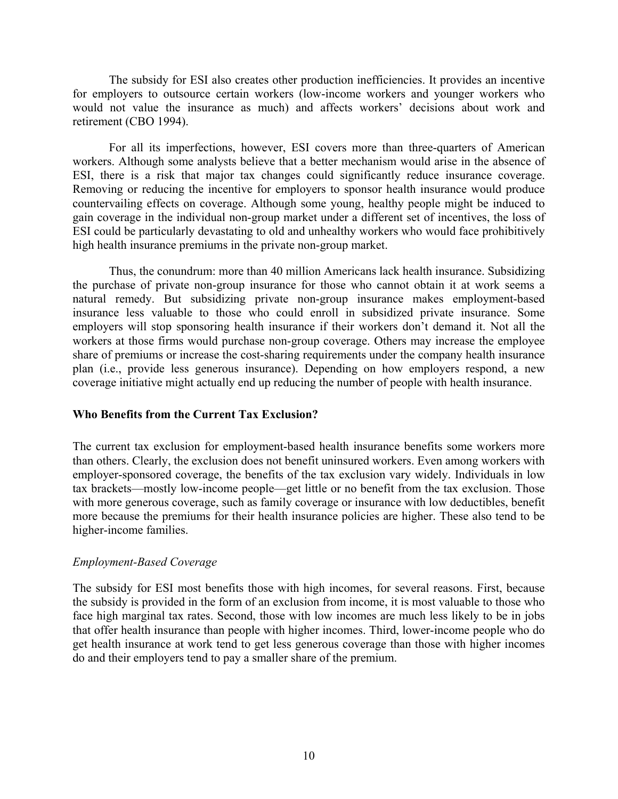The subsidy for ESI also creates other production inefficiencies. It provides an incentive for employers to outsource certain workers (low-income workers and younger workers who would not value the insurance as much) and affects workers' decisions about work and retirement (CBO 1994).

For all its imperfections, however, ESI covers more than three-quarters of American workers. Although some analysts believe that a better mechanism would arise in the absence of ESI, there is a risk that major tax changes could significantly reduce insurance coverage. Removing or reducing the incentive for employers to sponsor health insurance would produce countervailing effects on coverage. Although some young, healthy people might be induced to gain coverage in the individual non-group market under a different set of incentives, the loss of ESI could be particularly devastating to old and unhealthy workers who would face prohibitively high health insurance premiums in the private non-group market.

Thus, the conundrum: more than 40 million Americans lack health insurance. Subsidizing the purchase of private non-group insurance for those who cannot obtain it at work seems a natural remedy. But subsidizing private non-group insurance makes employment-based insurance less valuable to those who could enroll in subsidized private insurance. Some employers will stop sponsoring health insurance if their workers don't demand it. Not all the workers at those firms would purchase non-group coverage. Others may increase the employee share of premiums or increase the cost-sharing requirements under the company health insurance plan (i.e., provide less generous insurance). Depending on how employers respond, a new coverage initiative might actually end up reducing the number of people with health insurance.

#### **Who Benefits from the Current Tax Exclusion?**

The current tax exclusion for employment-based health insurance benefits some workers more than others. Clearly, the exclusion does not benefit uninsured workers. Even among workers with employer-sponsored coverage, the benefits of the tax exclusion vary widely. Individuals in low tax brackets—mostly low-income people—get little or no benefit from the tax exclusion. Those with more generous coverage, such as family coverage or insurance with low deductibles, benefit more because the premiums for their health insurance policies are higher. These also tend to be higher-income families.

### *Employment-Based Coverage*

The subsidy for ESI most benefits those with high incomes, for several reasons. First, because the subsidy is provided in the form of an exclusion from income, it is most valuable to those who face high marginal tax rates. Second, those with low incomes are much less likely to be in jobs that offer health insurance than people with higher incomes. Third, lower-income people who do get health insurance at work tend to get less generous coverage than those with higher incomes do and their employers tend to pay a smaller share of the premium.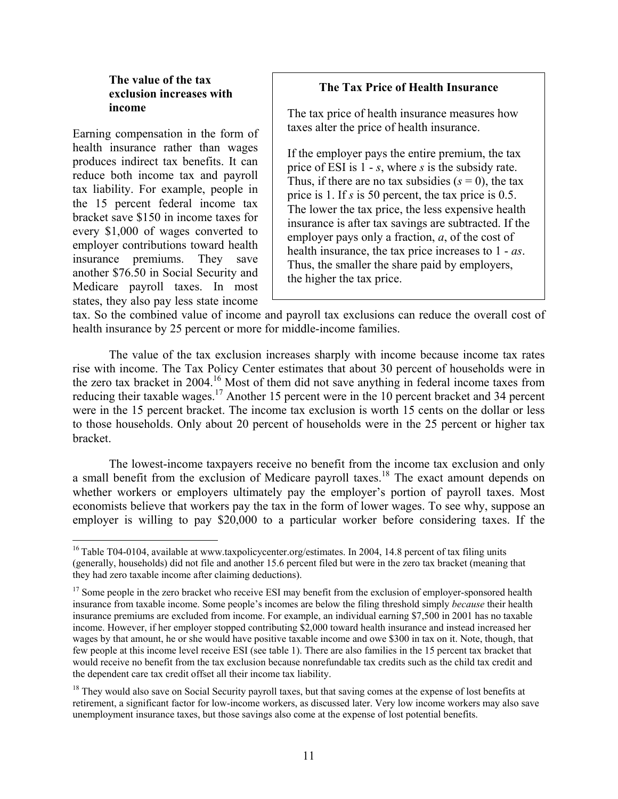## **The value of the tax exclusion increases with income**

Earning compensation in the form of health insurance rather than wages produces indirect tax benefits. It can reduce both income tax and payroll tax liability. For example, people in the 15 percent federal income tax bracket save \$150 in income taxes for every \$1,000 of wages converted to employer contributions toward health insurance premiums. They save another \$76.50 in Social Security and Medicare payroll taxes. In most states, they also pay less state income

 $\overline{a}$ 

# **The Tax Price of Health Insurance**

The tax price of health insurance measures how taxes alter the price of health insurance.

If the employer pays the entire premium, the tax price of ESI is 1 - *s*, where *s* is the subsidy rate. Thus, if there are no tax subsidies  $(s = 0)$ , the tax price is 1. If *s* is 50 percent, the tax price is 0.5. The lower the tax price, the less expensive health insurance is after tax savings are subtracted. If the employer pays only a fraction, *a*, of the cost of health insurance, the tax price increases to 1 - *as*. Thus, the smaller the share paid by employers, the higher the tax price.

tax. So the combined value of income and payroll tax exclusions can reduce the overall cost of health insurance by 25 percent or more for middle-income families.

The value of the tax exclusion increases sharply with income because income tax rates rise with income. The Tax Policy Center estimates that about 30 percent of households were in the zero tax bracket in 2004.<sup>16</sup> Most of them did not save anything in federal income taxes from reducing their taxable wages.<sup>17</sup> Another 15 percent were in the 10 percent bracket and 34 percent were in the 15 percent bracket. The income tax exclusion is worth 15 cents on the dollar or less to those households. Only about 20 percent of households were in the 25 percent or higher tax bracket.

The lowest-income taxpayers receive no benefit from the income tax exclusion and only a small benefit from the exclusion of Medicare payroll taxes.<sup>18</sup> The exact amount depends on whether workers or employers ultimately pay the employer's portion of payroll taxes. Most economists believe that workers pay the tax in the form of lower wages. To see why, suppose an employer is willing to pay \$20,000 to a particular worker before considering taxes. If the

<sup>&</sup>lt;sup>16</sup> Table T04-0104, available at www.taxpolicycenter.org/estimates. In 2004, 14.8 percent of tax filing units (generally, households) did not file and another 15.6 percent filed but were in the zero tax bracket (meaning that they had zero taxable income after claiming deductions).

<sup>&</sup>lt;sup>17</sup> Some people in the zero bracket who receive ESI may benefit from the exclusion of employer-sponsored health insurance from taxable income. Some people's incomes are below the filing threshold simply *because* their health insurance premiums are excluded from income. For example, an individual earning \$7,500 in 2001 has no taxable income. However, if her employer stopped contributing \$2,000 toward health insurance and instead increased her wages by that amount, he or she would have positive taxable income and owe \$300 in tax on it. Note, though, that few people at this income level receive ESI (see table 1). There are also families in the 15 percent tax bracket that would receive no benefit from the tax exclusion because nonrefundable tax credits such as the child tax credit and the dependent care tax credit offset all their income tax liability.

<sup>&</sup>lt;sup>18</sup> They would also save on Social Security payroll taxes, but that saving comes at the expense of lost benefits at retirement, a significant factor for low-income workers, as discussed later. Very low income workers may also save unemployment insurance taxes, but those savings also come at the expense of lost potential benefits.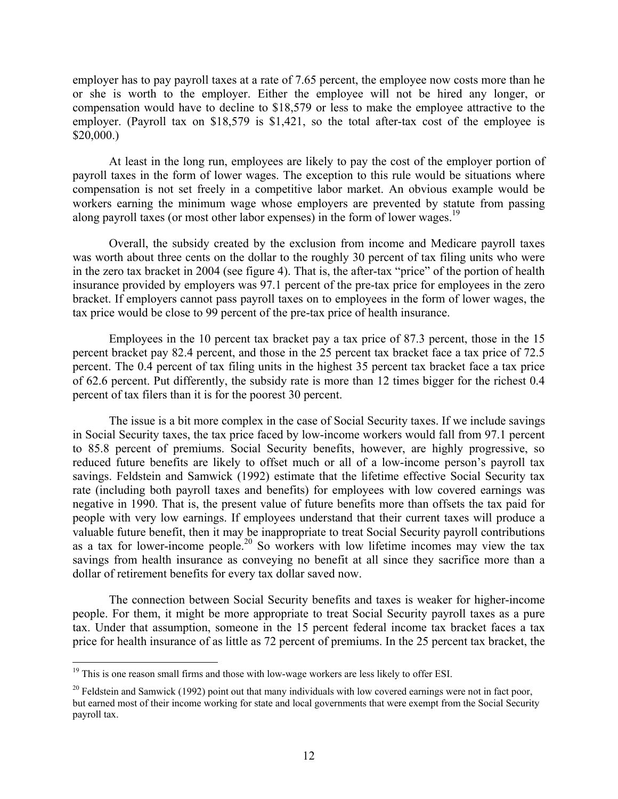employer has to pay payroll taxes at a rate of 7.65 percent, the employee now costs more than he or she is worth to the employer. Either the employee will not be hired any longer, or compensation would have to decline to \$18,579 or less to make the employee attractive to the employer. (Payroll tax on \$18,579 is \$1,421, so the total after-tax cost of the employee is \$20,000.)

At least in the long run, employees are likely to pay the cost of the employer portion of payroll taxes in the form of lower wages. The exception to this rule would be situations where compensation is not set freely in a competitive labor market. An obvious example would be workers earning the minimum wage whose employers are prevented by statute from passing along payroll taxes (or most other labor expenses) in the form of lower wages.<sup>19</sup>

Overall, the subsidy created by the exclusion from income and Medicare payroll taxes was worth about three cents on the dollar to the roughly 30 percent of tax filing units who were in the zero tax bracket in 2004 (see figure 4). That is, the after-tax "price" of the portion of health insurance provided by employers was 97.1 percent of the pre-tax price for employees in the zero bracket. If employers cannot pass payroll taxes on to employees in the form of lower wages, the tax price would be close to 99 percent of the pre-tax price of health insurance.

Employees in the 10 percent tax bracket pay a tax price of 87.3 percent, those in the 15 percent bracket pay 82.4 percent, and those in the 25 percent tax bracket face a tax price of 72.5 percent. The 0.4 percent of tax filing units in the highest 35 percent tax bracket face a tax price of 62.6 percent. Put differently, the subsidy rate is more than 12 times bigger for the richest 0.4 percent of tax filers than it is for the poorest 30 percent.

The issue is a bit more complex in the case of Social Security taxes. If we include savings in Social Security taxes, the tax price faced by low-income workers would fall from 97.1 percent to 85.8 percent of premiums. Social Security benefits, however, are highly progressive, so reduced future benefits are likely to offset much or all of a low-income person's payroll tax savings. Feldstein and Samwick (1992) estimate that the lifetime effective Social Security tax rate (including both payroll taxes and benefits) for employees with low covered earnings was negative in 1990. That is, the present value of future benefits more than offsets the tax paid for people with very low earnings. If employees understand that their current taxes will produce a valuable future benefit, then it may be inappropriate to treat Social Security payroll contributions as a tax for lower-income people.<sup>20</sup> So workers with low lifetime incomes may view the tax savings from health insurance as conveying no benefit at all since they sacrifice more than a dollar of retirement benefits for every tax dollar saved now.

The connection between Social Security benefits and taxes is weaker for higher-income people. For them, it might be more appropriate to treat Social Security payroll taxes as a pure tax. Under that assumption, someone in the 15 percent federal income tax bracket faces a tax price for health insurance of as little as 72 percent of premiums. In the 25 percent tax bracket, the

 $\overline{a}$ 

 $19$  This is one reason small firms and those with low-wage workers are less likely to offer ESI.

<sup>&</sup>lt;sup>20</sup> Feldstein and Samwick (1992) point out that many individuals with low covered earnings were not in fact poor, but earned most of their income working for state and local governments that were exempt from the Social Security payroll tax.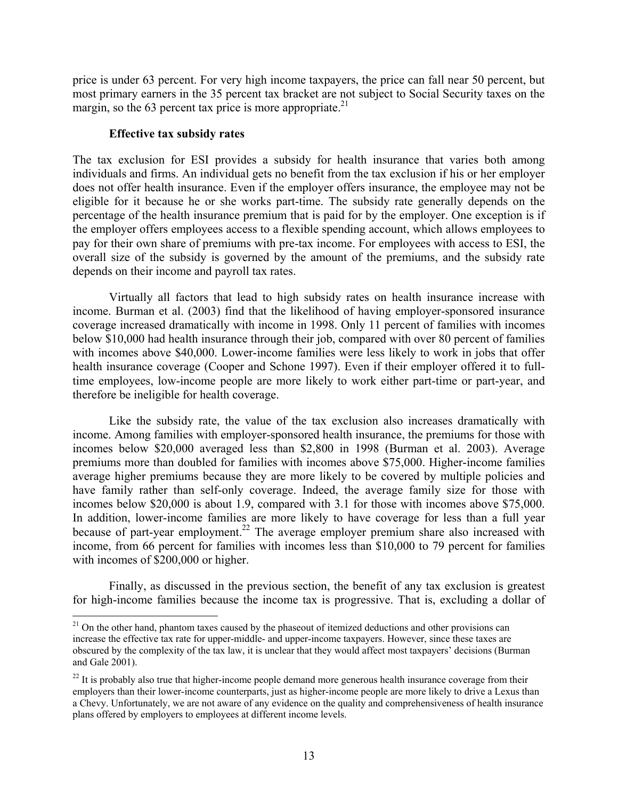price is under 63 percent. For very high income taxpayers, the price can fall near 50 percent, but most primary earners in the 35 percent tax bracket are not subject to Social Security taxes on the margin, so the 63 percent tax price is more appropriate. $21$ 

#### **Effective tax subsidy rates**

 $\overline{a}$ 

The tax exclusion for ESI provides a subsidy for health insurance that varies both among individuals and firms. An individual gets no benefit from the tax exclusion if his or her employer does not offer health insurance. Even if the employer offers insurance, the employee may not be eligible for it because he or she works part-time. The subsidy rate generally depends on the percentage of the health insurance premium that is paid for by the employer. One exception is if the employer offers employees access to a flexible spending account, which allows employees to pay for their own share of premiums with pre-tax income. For employees with access to ESI, the overall size of the subsidy is governed by the amount of the premiums, and the subsidy rate depends on their income and payroll tax rates.

Virtually all factors that lead to high subsidy rates on health insurance increase with income. Burman et al. (2003) find that the likelihood of having employer-sponsored insurance coverage increased dramatically with income in 1998. Only 11 percent of families with incomes below \$10,000 had health insurance through their job, compared with over 80 percent of families with incomes above \$40,000. Lower-income families were less likely to work in jobs that offer health insurance coverage (Cooper and Schone 1997). Even if their employer offered it to fulltime employees, low-income people are more likely to work either part-time or part-year, and therefore be ineligible for health coverage.

Like the subsidy rate, the value of the tax exclusion also increases dramatically with income. Among families with employer-sponsored health insurance, the premiums for those with incomes below \$20,000 averaged less than \$2,800 in 1998 (Burman et al. 2003). Average premiums more than doubled for families with incomes above \$75,000. Higher-income families average higher premiums because they are more likely to be covered by multiple policies and have family rather than self-only coverage. Indeed, the average family size for those with incomes below \$20,000 is about 1.9, compared with 3.1 for those with incomes above \$75,000. In addition, lower-income families are more likely to have coverage for less than a full year because of part-year employment.<sup>22</sup> The average employer premium share also increased with income, from 66 percent for families with incomes less than \$10,000 to 79 percent for families with incomes of \$200,000 or higher.

Finally, as discussed in the previous section, the benefit of any tax exclusion is greatest for high-income families because the income tax is progressive. That is, excluding a dollar of

 $21$  On the other hand, phantom taxes caused by the phaseout of itemized deductions and other provisions can increase the effective tax rate for upper-middle- and upper-income taxpayers. However, since these taxes are obscured by the complexity of the tax law, it is unclear that they would affect most taxpayers' decisions (Burman and Gale 2001).

 $^{22}$  It is probably also true that higher-income people demand more generous health insurance coverage from their employers than their lower-income counterparts, just as higher-income people are more likely to drive a Lexus than a Chevy. Unfortunately, we are not aware of any evidence on the quality and comprehensiveness of health insurance plans offered by employers to employees at different income levels.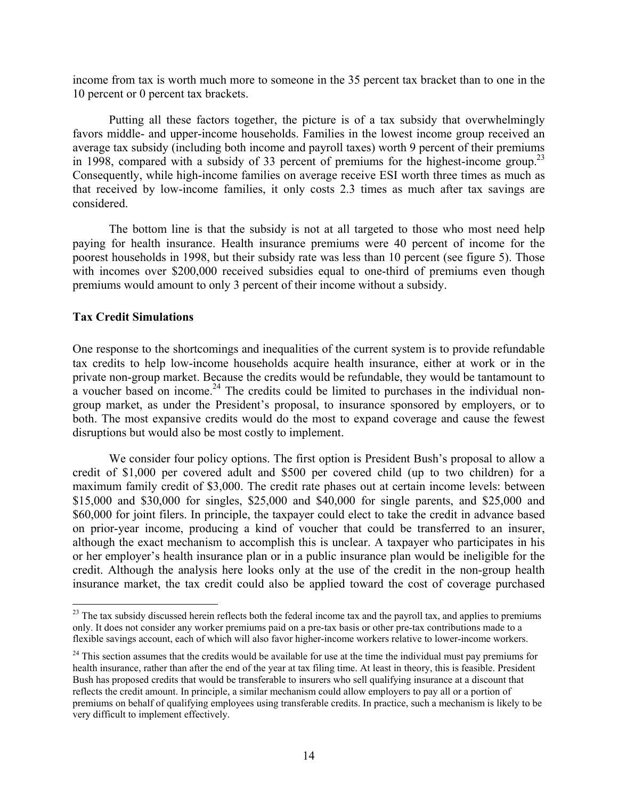income from tax is worth much more to someone in the 35 percent tax bracket than to one in the 10 percent or 0 percent tax brackets.

Putting all these factors together, the picture is of a tax subsidy that overwhelmingly favors middle- and upper-income households. Families in the lowest income group received an average tax subsidy (including both income and payroll taxes) worth 9 percent of their premiums in 1998, compared with a subsidy of 33 percent of premiums for the highest-income group.<sup>23</sup> Consequently, while high-income families on average receive ESI worth three times as much as that received by low-income families, it only costs 2.3 times as much after tax savings are considered.

The bottom line is that the subsidy is not at all targeted to those who most need help paying for health insurance. Health insurance premiums were 40 percent of income for the poorest households in 1998, but their subsidy rate was less than 10 percent (see figure 5). Those with incomes over \$200,000 received subsidies equal to one-third of premiums even though premiums would amount to only 3 percent of their income without a subsidy.

### **Tax Credit Simulations**

 $\overline{a}$ 

One response to the shortcomings and inequalities of the current system is to provide refundable tax credits to help low-income households acquire health insurance, either at work or in the private non-group market. Because the credits would be refundable, they would be tantamount to  $\alpha$  voucher based on income.<sup>24</sup> The credits could be limited to purchases in the individual nongroup market, as under the President's proposal, to insurance sponsored by employers, or to both. The most expansive credits would do the most to expand coverage and cause the fewest disruptions but would also be most costly to implement.

We consider four policy options. The first option is President Bush's proposal to allow a credit of \$1,000 per covered adult and \$500 per covered child (up to two children) for a maximum family credit of \$3,000. The credit rate phases out at certain income levels: between \$15,000 and \$30,000 for singles, \$25,000 and \$40,000 for single parents, and \$25,000 and \$60,000 for joint filers. In principle, the taxpayer could elect to take the credit in advance based on prior-year income, producing a kind of voucher that could be transferred to an insurer, although the exact mechanism to accomplish this is unclear. A taxpayer who participates in his or her employer's health insurance plan or in a public insurance plan would be ineligible for the credit. Although the analysis here looks only at the use of the credit in the non-group health insurance market, the tax credit could also be applied toward the cost of coverage purchased

<sup>&</sup>lt;sup>23</sup> The tax subsidy discussed herein reflects both the federal income tax and the payroll tax, and applies to premiums only. It does not consider any worker premiums paid on a pre-tax basis or other pre-tax contributions made to a flexible savings account, each of which will also favor higher-income workers relative to lower-income workers.

 $24$  This section assumes that the credits would be available for use at the time the individual must pay premiums for health insurance, rather than after the end of the year at tax filing time. At least in theory, this is feasible. President Bush has proposed credits that would be transferable to insurers who sell qualifying insurance at a discount that reflects the credit amount. In principle, a similar mechanism could allow employers to pay all or a portion of premiums on behalf of qualifying employees using transferable credits. In practice, such a mechanism is likely to be very difficult to implement effectively.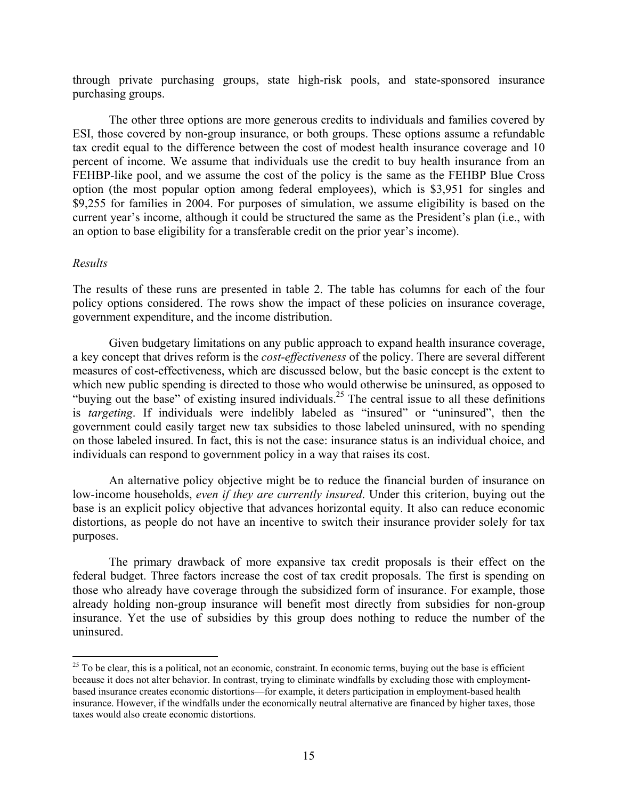through private purchasing groups, state high-risk pools, and state-sponsored insurance purchasing groups.

The other three options are more generous credits to individuals and families covered by ESI, those covered by non-group insurance, or both groups. These options assume a refundable tax credit equal to the difference between the cost of modest health insurance coverage and 10 percent of income. We assume that individuals use the credit to buy health insurance from an FEHBP-like pool, and we assume the cost of the policy is the same as the FEHBP Blue Cross option (the most popular option among federal employees), which is \$3,951 for singles and \$9,255 for families in 2004. For purposes of simulation, we assume eligibility is based on the current year's income, although it could be structured the same as the President's plan (i.e., with an option to base eligibility for a transferable credit on the prior year's income).

#### *Results*

 $\overline{a}$ 

The results of these runs are presented in table 2. The table has columns for each of the four policy options considered. The rows show the impact of these policies on insurance coverage, government expenditure, and the income distribution.

Given budgetary limitations on any public approach to expand health insurance coverage, a key concept that drives reform is the *cost-effectiveness* of the policy. There are several different measures of cost-effectiveness, which are discussed below, but the basic concept is the extent to which new public spending is directed to those who would otherwise be uninsured, as opposed to "buying out the base" of existing insured individuals.25 The central issue to all these definitions is *targeting*. If individuals were indelibly labeled as "insured" or "uninsured", then the government could easily target new tax subsidies to those labeled uninsured, with no spending on those labeled insured. In fact, this is not the case: insurance status is an individual choice, and individuals can respond to government policy in a way that raises its cost.

An alternative policy objective might be to reduce the financial burden of insurance on low-income households, *even if they are currently insured*. Under this criterion, buying out the base is an explicit policy objective that advances horizontal equity. It also can reduce economic distortions, as people do not have an incentive to switch their insurance provider solely for tax purposes.

The primary drawback of more expansive tax credit proposals is their effect on the federal budget. Three factors increase the cost of tax credit proposals. The first is spending on those who already have coverage through the subsidized form of insurance. For example, those already holding non-group insurance will benefit most directly from subsidies for non-group insurance. Yet the use of subsidies by this group does nothing to reduce the number of the uninsured.

 $25$  To be clear, this is a political, not an economic, constraint. In economic terms, buying out the base is efficient because it does not alter behavior. In contrast, trying to eliminate windfalls by excluding those with employmentbased insurance creates economic distortions—for example, it deters participation in employment-based health insurance. However, if the windfalls under the economically neutral alternative are financed by higher taxes, those taxes would also create economic distortions.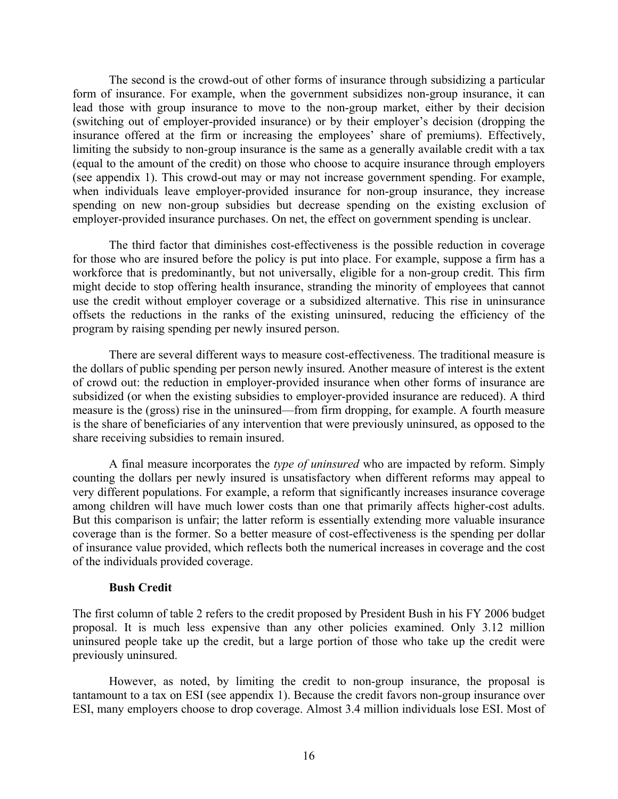The second is the crowd-out of other forms of insurance through subsidizing a particular form of insurance. For example, when the government subsidizes non-group insurance, it can lead those with group insurance to move to the non-group market, either by their decision (switching out of employer-provided insurance) or by their employer's decision (dropping the insurance offered at the firm or increasing the employees' share of premiums). Effectively, limiting the subsidy to non-group insurance is the same as a generally available credit with a tax (equal to the amount of the credit) on those who choose to acquire insurance through employers (see appendix 1). This crowd-out may or may not increase government spending. For example, when individuals leave employer-provided insurance for non-group insurance, they increase spending on new non-group subsidies but decrease spending on the existing exclusion of employer-provided insurance purchases. On net, the effect on government spending is unclear.

The third factor that diminishes cost-effectiveness is the possible reduction in coverage for those who are insured before the policy is put into place. For example, suppose a firm has a workforce that is predominantly, but not universally, eligible for a non-group credit. This firm might decide to stop offering health insurance, stranding the minority of employees that cannot use the credit without employer coverage or a subsidized alternative. This rise in uninsurance offsets the reductions in the ranks of the existing uninsured, reducing the efficiency of the program by raising spending per newly insured person.

There are several different ways to measure cost-effectiveness. The traditional measure is the dollars of public spending per person newly insured. Another measure of interest is the extent of crowd out: the reduction in employer-provided insurance when other forms of insurance are subsidized (or when the existing subsidies to employer-provided insurance are reduced). A third measure is the (gross) rise in the uninsured—from firm dropping, for example. A fourth measure is the share of beneficiaries of any intervention that were previously uninsured, as opposed to the share receiving subsidies to remain insured.

A final measure incorporates the *type of uninsured* who are impacted by reform. Simply counting the dollars per newly insured is unsatisfactory when different reforms may appeal to very different populations. For example, a reform that significantly increases insurance coverage among children will have much lower costs than one that primarily affects higher-cost adults. But this comparison is unfair; the latter reform is essentially extending more valuable insurance coverage than is the former. So a better measure of cost-effectiveness is the spending per dollar of insurance value provided, which reflects both the numerical increases in coverage and the cost of the individuals provided coverage.

### **Bush Credit**

The first column of table 2 refers to the credit proposed by President Bush in his FY 2006 budget proposal. It is much less expensive than any other policies examined. Only 3.12 million uninsured people take up the credit, but a large portion of those who take up the credit were previously uninsured.

However, as noted, by limiting the credit to non-group insurance, the proposal is tantamount to a tax on ESI (see appendix 1). Because the credit favors non-group insurance over ESI, many employers choose to drop coverage. Almost 3.4 million individuals lose ESI. Most of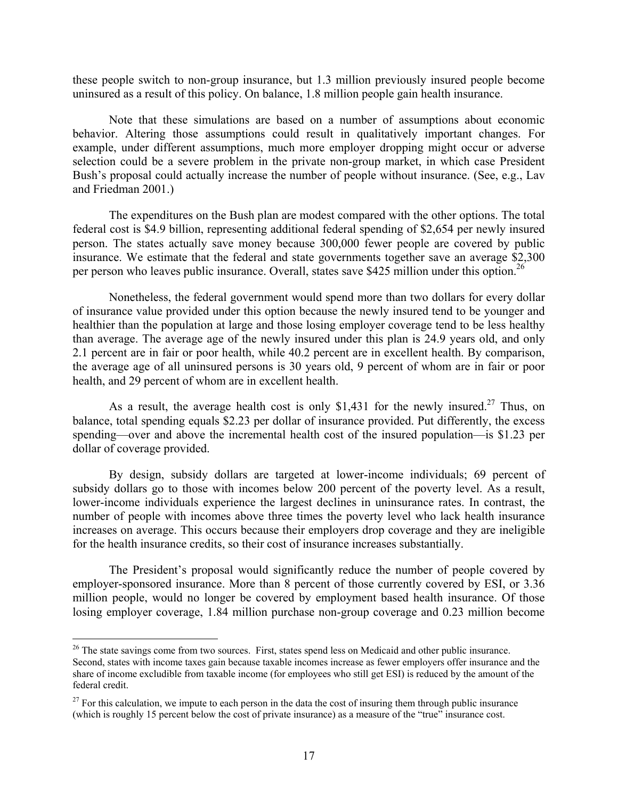these people switch to non-group insurance, but 1.3 million previously insured people become uninsured as a result of this policy. On balance, 1.8 million people gain health insurance.

Note that these simulations are based on a number of assumptions about economic behavior. Altering those assumptions could result in qualitatively important changes. For example, under different assumptions, much more employer dropping might occur or adverse selection could be a severe problem in the private non-group market, in which case President Bush's proposal could actually increase the number of people without insurance. (See, e.g., Lav and Friedman 2001.)

The expenditures on the Bush plan are modest compared with the other options. The total federal cost is \$4.9 billion, representing additional federal spending of \$2,654 per newly insured person. The states actually save money because 300,000 fewer people are covered by public insurance. We estimate that the federal and state governments together save an average \$2,300 per person who leaves public insurance. Overall, states save \$425 million under this option.<sup>26</sup>

Nonetheless, the federal government would spend more than two dollars for every dollar of insurance value provided under this option because the newly insured tend to be younger and healthier than the population at large and those losing employer coverage tend to be less healthy than average. The average age of the newly insured under this plan is 24.9 years old, and only 2.1 percent are in fair or poor health, while 40.2 percent are in excellent health. By comparison, the average age of all uninsured persons is 30 years old, 9 percent of whom are in fair or poor health, and 29 percent of whom are in excellent health.

As a result, the average health cost is only \$1,431 for the newly insured.<sup>27</sup> Thus, on balance, total spending equals \$2.23 per dollar of insurance provided. Put differently, the excess spending—over and above the incremental health cost of the insured population—is \$1.23 per dollar of coverage provided.

By design, subsidy dollars are targeted at lower-income individuals; 69 percent of subsidy dollars go to those with incomes below 200 percent of the poverty level. As a result, lower-income individuals experience the largest declines in uninsurance rates. In contrast, the number of people with incomes above three times the poverty level who lack health insurance increases on average. This occurs because their employers drop coverage and they are ineligible for the health insurance credits, so their cost of insurance increases substantially.

The President's proposal would significantly reduce the number of people covered by employer-sponsored insurance. More than 8 percent of those currently covered by ESI, or 3.36 million people, would no longer be covered by employment based health insurance. Of those losing employer coverage, 1.84 million purchase non-group coverage and 0.23 million become

 $\overline{a}$ 

<sup>&</sup>lt;sup>26</sup> The state savings come from two sources. First, states spend less on Medicaid and other public insurance.

Second, states with income taxes gain because taxable incomes increase as fewer employers offer insurance and the share of income excludible from taxable income (for employees who still get ESI) is reduced by the amount of the federal credit.

 $27$  For this calculation, we impute to each person in the data the cost of insuring them through public insurance (which is roughly 15 percent below the cost of private insurance) as a measure of the "true" insurance cost.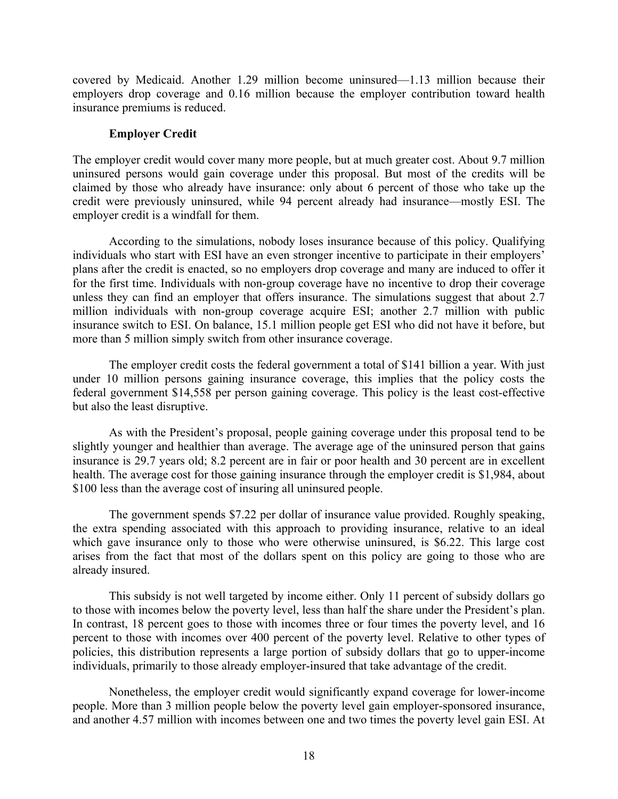covered by Medicaid. Another 1.29 million become uninsured—1.13 million because their employers drop coverage and 0.16 million because the employer contribution toward health insurance premiums is reduced.

#### **Employer Credit**

The employer credit would cover many more people, but at much greater cost. About 9.7 million uninsured persons would gain coverage under this proposal. But most of the credits will be claimed by those who already have insurance: only about 6 percent of those who take up the credit were previously uninsured, while 94 percent already had insurance—mostly ESI. The employer credit is a windfall for them.

According to the simulations, nobody loses insurance because of this policy. Qualifying individuals who start with ESI have an even stronger incentive to participate in their employers' plans after the credit is enacted, so no employers drop coverage and many are induced to offer it for the first time. Individuals with non-group coverage have no incentive to drop their coverage unless they can find an employer that offers insurance. The simulations suggest that about 2.7 million individuals with non-group coverage acquire ESI; another 2.7 million with public insurance switch to ESI. On balance, 15.1 million people get ESI who did not have it before, but more than 5 million simply switch from other insurance coverage.

The employer credit costs the federal government a total of \$141 billion a year. With just under 10 million persons gaining insurance coverage, this implies that the policy costs the federal government \$14,558 per person gaining coverage. This policy is the least cost-effective but also the least disruptive.

As with the President's proposal, people gaining coverage under this proposal tend to be slightly younger and healthier than average. The average age of the uninsured person that gains insurance is 29.7 years old; 8.2 percent are in fair or poor health and 30 percent are in excellent health. The average cost for those gaining insurance through the employer credit is \$1,984, about \$100 less than the average cost of insuring all uninsured people.

The government spends \$7.22 per dollar of insurance value provided. Roughly speaking, the extra spending associated with this approach to providing insurance, relative to an ideal which gave insurance only to those who were otherwise uninsured, is \$6.22. This large cost arises from the fact that most of the dollars spent on this policy are going to those who are already insured.

This subsidy is not well targeted by income either. Only 11 percent of subsidy dollars go to those with incomes below the poverty level, less than half the share under the President's plan. In contrast, 18 percent goes to those with incomes three or four times the poverty level, and 16 percent to those with incomes over 400 percent of the poverty level. Relative to other types of policies, this distribution represents a large portion of subsidy dollars that go to upper-income individuals, primarily to those already employer-insured that take advantage of the credit.

Nonetheless, the employer credit would significantly expand coverage for lower-income people. More than 3 million people below the poverty level gain employer-sponsored insurance, and another 4.57 million with incomes between one and two times the poverty level gain ESI. At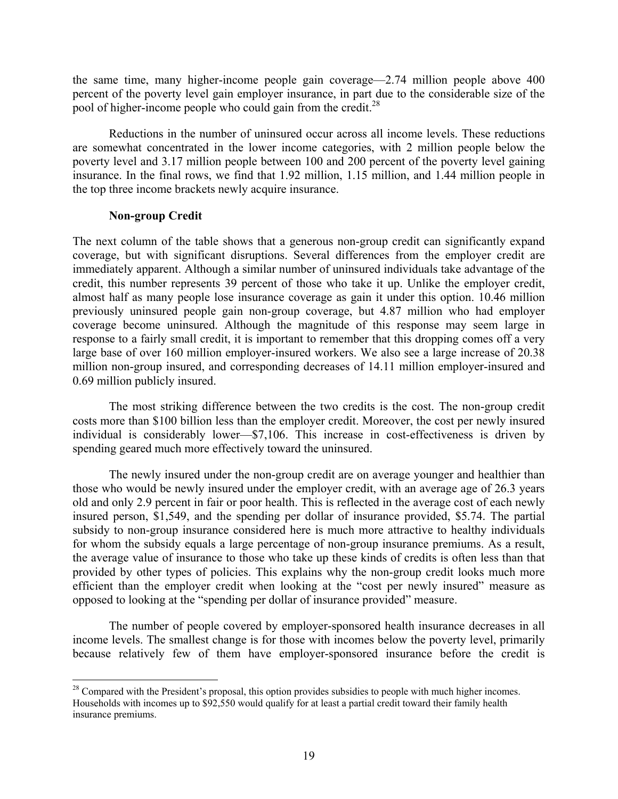the same time, many higher-income people gain coverage—2.74 million people above 400 percent of the poverty level gain employer insurance, in part due to the considerable size of the pool of higher-income people who could gain from the credit.<sup>28</sup>

Reductions in the number of uninsured occur across all income levels. These reductions are somewhat concentrated in the lower income categories, with 2 million people below the poverty level and 3.17 million people between 100 and 200 percent of the poverty level gaining insurance. In the final rows, we find that 1.92 million, 1.15 million, and 1.44 million people in the top three income brackets newly acquire insurance.

### **Non-group Credit**

The next column of the table shows that a generous non-group credit can significantly expand coverage, but with significant disruptions. Several differences from the employer credit are immediately apparent. Although a similar number of uninsured individuals take advantage of the credit, this number represents 39 percent of those who take it up. Unlike the employer credit, almost half as many people lose insurance coverage as gain it under this option. 10.46 million previously uninsured people gain non-group coverage, but 4.87 million who had employer coverage become uninsured. Although the magnitude of this response may seem large in response to a fairly small credit, it is important to remember that this dropping comes off a very large base of over 160 million employer-insured workers. We also see a large increase of 20.38 million non-group insured, and corresponding decreases of 14.11 million employer-insured and 0.69 million publicly insured.

The most striking difference between the two credits is the cost. The non-group credit costs more than \$100 billion less than the employer credit. Moreover, the cost per newly insured individual is considerably lower—\$7,106. This increase in cost-effectiveness is driven by spending geared much more effectively toward the uninsured.

The newly insured under the non-group credit are on average younger and healthier than those who would be newly insured under the employer credit, with an average age of 26.3 years old and only 2.9 percent in fair or poor health. This is reflected in the average cost of each newly insured person, \$1,549, and the spending per dollar of insurance provided, \$5.74. The partial subsidy to non-group insurance considered here is much more attractive to healthy individuals for whom the subsidy equals a large percentage of non-group insurance premiums. As a result, the average value of insurance to those who take up these kinds of credits is often less than that provided by other types of policies. This explains why the non-group credit looks much more efficient than the employer credit when looking at the "cost per newly insured" measure as opposed to looking at the "spending per dollar of insurance provided" measure.

The number of people covered by employer-sponsored health insurance decreases in all income levels. The smallest change is for those with incomes below the poverty level, primarily because relatively few of them have employer-sponsored insurance before the credit is

<sup>1</sup> <sup>28</sup> Compared with the President's proposal, this option provides subsidies to people with much higher incomes. Households with incomes up to \$92,550 would qualify for at least a partial credit toward their family health insurance premiums.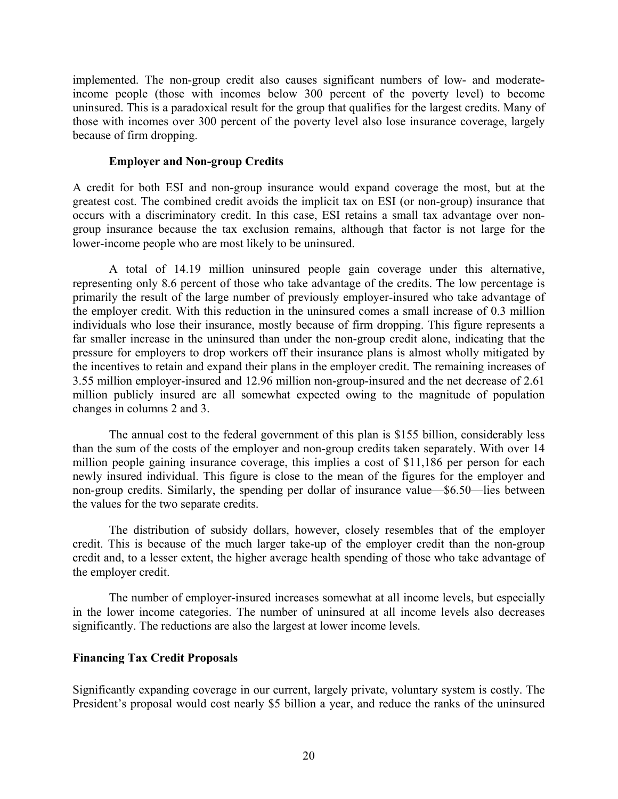implemented. The non-group credit also causes significant numbers of low- and moderateincome people (those with incomes below 300 percent of the poverty level) to become uninsured. This is a paradoxical result for the group that qualifies for the largest credits. Many of those with incomes over 300 percent of the poverty level also lose insurance coverage, largely because of firm dropping.

#### **Employer and Non-group Credits**

A credit for both ESI and non-group insurance would expand coverage the most, but at the greatest cost. The combined credit avoids the implicit tax on ESI (or non-group) insurance that occurs with a discriminatory credit. In this case, ESI retains a small tax advantage over nongroup insurance because the tax exclusion remains, although that factor is not large for the lower-income people who are most likely to be uninsured.

A total of 14.19 million uninsured people gain coverage under this alternative, representing only 8.6 percent of those who take advantage of the credits. The low percentage is primarily the result of the large number of previously employer-insured who take advantage of the employer credit. With this reduction in the uninsured comes a small increase of 0.3 million individuals who lose their insurance, mostly because of firm dropping. This figure represents a far smaller increase in the uninsured than under the non-group credit alone, indicating that the pressure for employers to drop workers off their insurance plans is almost wholly mitigated by the incentives to retain and expand their plans in the employer credit. The remaining increases of 3.55 million employer-insured and 12.96 million non-group-insured and the net decrease of 2.61 million publicly insured are all somewhat expected owing to the magnitude of population changes in columns 2 and 3.

The annual cost to the federal government of this plan is \$155 billion, considerably less than the sum of the costs of the employer and non-group credits taken separately. With over 14 million people gaining insurance coverage, this implies a cost of \$11,186 per person for each newly insured individual. This figure is close to the mean of the figures for the employer and non-group credits. Similarly, the spending per dollar of insurance value—\$6.50—lies between the values for the two separate credits.

The distribution of subsidy dollars, however, closely resembles that of the employer credit. This is because of the much larger take-up of the employer credit than the non-group credit and, to a lesser extent, the higher average health spending of those who take advantage of the employer credit.

The number of employer-insured increases somewhat at all income levels, but especially in the lower income categories. The number of uninsured at all income levels also decreases significantly. The reductions are also the largest at lower income levels.

### **Financing Tax Credit Proposals**

Significantly expanding coverage in our current, largely private, voluntary system is costly. The President's proposal would cost nearly \$5 billion a year, and reduce the ranks of the uninsured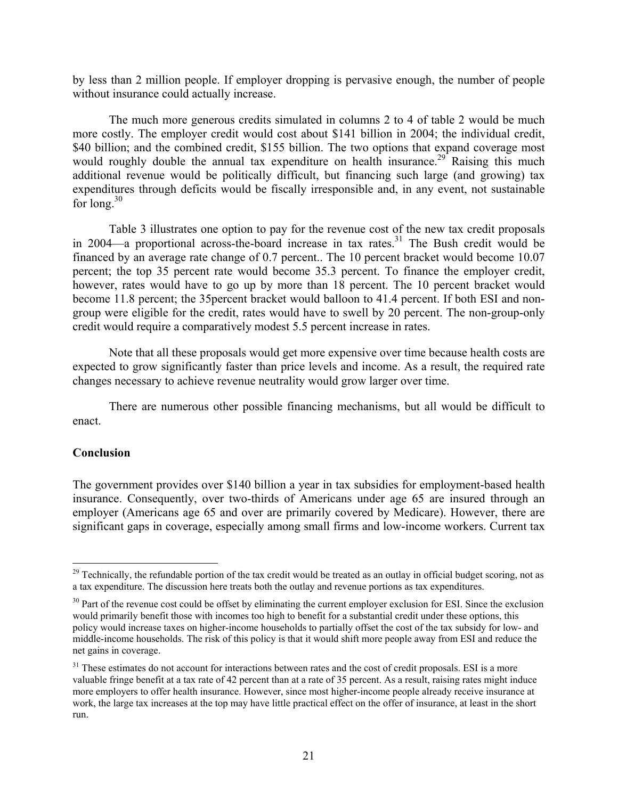by less than 2 million people. If employer dropping is pervasive enough, the number of people without insurance could actually increase.

The much more generous credits simulated in columns 2 to 4 of table 2 would be much more costly. The employer credit would cost about \$141 billion in 2004; the individual credit, \$40 billion; and the combined credit, \$155 billion. The two options that expand coverage most would roughly double the annual tax expenditure on health insurance.<sup>29</sup> Raising this much additional revenue would be politically difficult, but financing such large (and growing) tax expenditures through deficits would be fiscally irresponsible and, in any event, not sustainable for long. $30$ 

Table 3 illustrates one option to pay for the revenue cost of the new tax credit proposals in 2004—a proportional across-the-board increase in tax rates.<sup>31</sup> The Bush credit would be financed by an average rate change of 0.7 percent.. The 10 percent bracket would become 10.07 percent; the top 35 percent rate would become 35.3 percent. To finance the employer credit, however, rates would have to go up by more than 18 percent. The 10 percent bracket would become 11.8 percent; the 35percent bracket would balloon to 41.4 percent. If both ESI and nongroup were eligible for the credit, rates would have to swell by 20 percent. The non-group-only credit would require a comparatively modest 5.5 percent increase in rates.

Note that all these proposals would get more expensive over time because health costs are expected to grow significantly faster than price levels and income. As a result, the required rate changes necessary to achieve revenue neutrality would grow larger over time.

There are numerous other possible financing mechanisms, but all would be difficult to enact.

#### **Conclusion**

 $\overline{a}$ 

The government provides over \$140 billion a year in tax subsidies for employment-based health insurance. Consequently, over two-thirds of Americans under age 65 are insured through an employer (Americans age 65 and over are primarily covered by Medicare). However, there are significant gaps in coverage, especially among small firms and low-income workers. Current tax

<sup>&</sup>lt;sup>29</sup> Technically, the refundable portion of the tax credit would be treated as an outlay in official budget scoring, not as a tax expenditure. The discussion here treats both the outlay and revenue portions as tax expenditures.

<sup>&</sup>lt;sup>30</sup> Part of the revenue cost could be offset by eliminating the current employer exclusion for ESI. Since the exclusion would primarily benefit those with incomes too high to benefit for a substantial credit under these options, this policy would increase taxes on higher-income households to partially offset the cost of the tax subsidy for low- and middle-income households. The risk of this policy is that it would shift more people away from ESI and reduce the net gains in coverage.

<sup>&</sup>lt;sup>31</sup> These estimates do not account for interactions between rates and the cost of credit proposals. ESI is a more valuable fringe benefit at a tax rate of 42 percent than at a rate of 35 percent. As a result, raising rates might induce more employers to offer health insurance. However, since most higher-income people already receive insurance at work, the large tax increases at the top may have little practical effect on the offer of insurance, at least in the short run.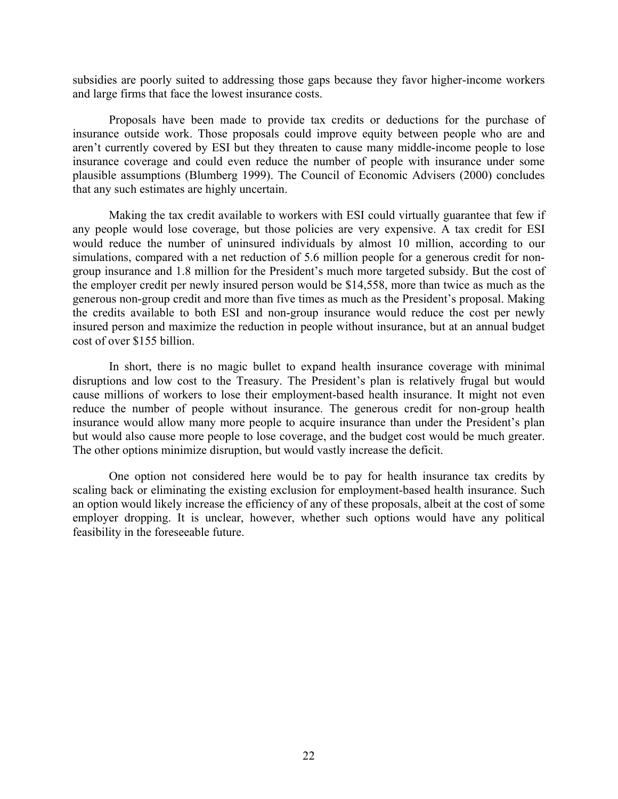subsidies are poorly suited to addressing those gaps because they favor higher-income workers and large firms that face the lowest insurance costs.

Proposals have been made to provide tax credits or deductions for the purchase of insurance outside work. Those proposals could improve equity between people who are and aren't currently covered by ESI but they threaten to cause many middle-income people to lose insurance coverage and could even reduce the number of people with insurance under some plausible assumptions (Blumberg 1999). The Council of Economic Advisers (2000) concludes that any such estimates are highly uncertain.

Making the tax credit available to workers with ESI could virtually guarantee that few if any people would lose coverage, but those policies are very expensive. A tax credit for ESI would reduce the number of uninsured individuals by almost 10 million, according to our simulations, compared with a net reduction of 5.6 million people for a generous credit for nongroup insurance and 1.8 million for the President's much more targeted subsidy. But the cost of the employer credit per newly insured person would be \$14,558, more than twice as much as the generous non-group credit and more than five times as much as the President's proposal. Making the credits available to both ESI and non-group insurance would reduce the cost per newly insured person and maximize the reduction in people without insurance, but at an annual budget cost of over \$155 billion.

In short, there is no magic bullet to expand health insurance coverage with minimal disruptions and low cost to the Treasury. The President's plan is relatively frugal but would cause millions of workers to lose their employment-based health insurance. It might not even reduce the number of people without insurance. The generous credit for non-group health insurance would allow many more people to acquire insurance than under the President's plan but would also cause more people to lose coverage, and the budget cost would be much greater. The other options minimize disruption, but would vastly increase the deficit.

One option not considered here would be to pay for health insurance tax credits by scaling back or eliminating the existing exclusion for employment-based health insurance. Such an option would likely increase the efficiency of any of these proposals, albeit at the cost of some employer dropping. It is unclear, however, whether such options would have any political feasibility in the foreseeable future.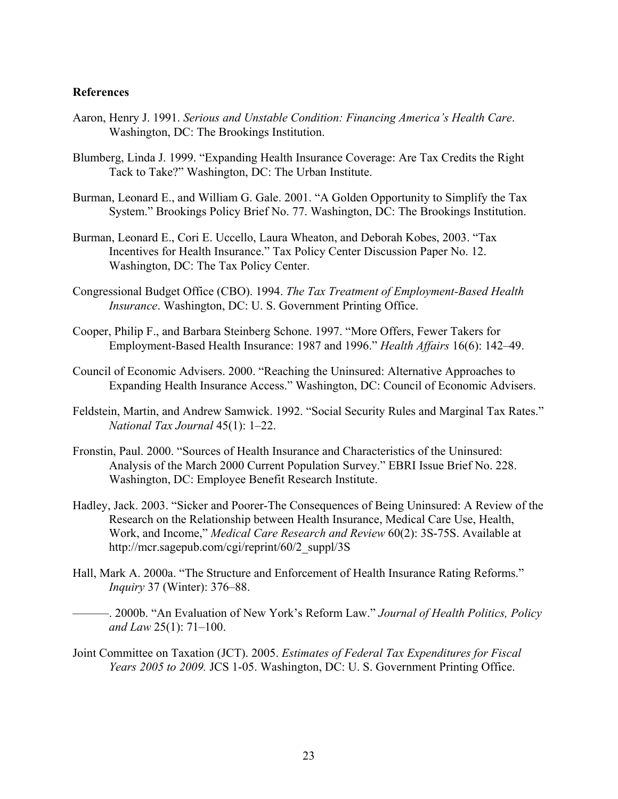#### **References**

- Aaron, Henry J. 1991. *Serious and Unstable Condition: Financing America's Health Care*. Washington, DC: The Brookings Institution.
- Blumberg, Linda J. 1999. "Expanding Health Insurance Coverage: Are Tax Credits the Right Tack to Take?" Washington, DC: The Urban Institute.
- Burman, Leonard E., and William G. Gale. 2001. "A Golden Opportunity to Simplify the Tax System." Brookings Policy Brief No. 77. Washington, DC: The Brookings Institution.
- Burman, Leonard E., Cori E. Uccello, Laura Wheaton, and Deborah Kobes, 2003. "Tax Incentives for Health Insurance." Tax Policy Center Discussion Paper No. 12. Washington, DC: The Tax Policy Center.
- Congressional Budget Office (CBO). 1994. *The Tax Treatment of Employment-Based Health Insurance*. Washington, DC: U. S. Government Printing Office.
- Cooper, Philip F., and Barbara Steinberg Schone. 1997. "More Offers, Fewer Takers for Employment-Based Health Insurance: 1987 and 1996." *Health Affairs* 16(6): 142–49.
- Council of Economic Advisers. 2000. "Reaching the Uninsured: Alternative Approaches to Expanding Health Insurance Access." Washington, DC: Council of Economic Advisers.
- Feldstein, Martin, and Andrew Samwick. 1992. "Social Security Rules and Marginal Tax Rates." *National Tax Journal* 45(1): 1–22.
- Fronstin, Paul. 2000. "Sources of Health Insurance and Characteristics of the Uninsured: Analysis of the March 2000 Current Population Survey." EBRI Issue Brief No. 228. Washington, DC: Employee Benefit Research Institute.
- Hadley, Jack. 2003. "Sicker and Poorer-The Consequences of Being Uninsured: A Review of the Research on the Relationship between Health Insurance, Medical Care Use, Health, Work, and Income," *Medical Care Research and Review* 60(2): 3S-75S. Available at http://mcr.sagepub.com/cgi/reprint/60/2\_suppl/3S
- Hall, Mark A. 2000a. "The Structure and Enforcement of Health Insurance Rating Reforms." *Inquiry* 37 (Winter): 376–88.
	- ———. 2000b. "An Evaluation of New York's Reform Law." *Journal of Health Politics, Policy and Law* 25(1): 71–100.
- Joint Committee on Taxation (JCT). 2005. *Estimates of Federal Tax Expenditures for Fiscal Years 2005 to 2009.* JCS 1-05. Washington, DC: U. S. Government Printing Office.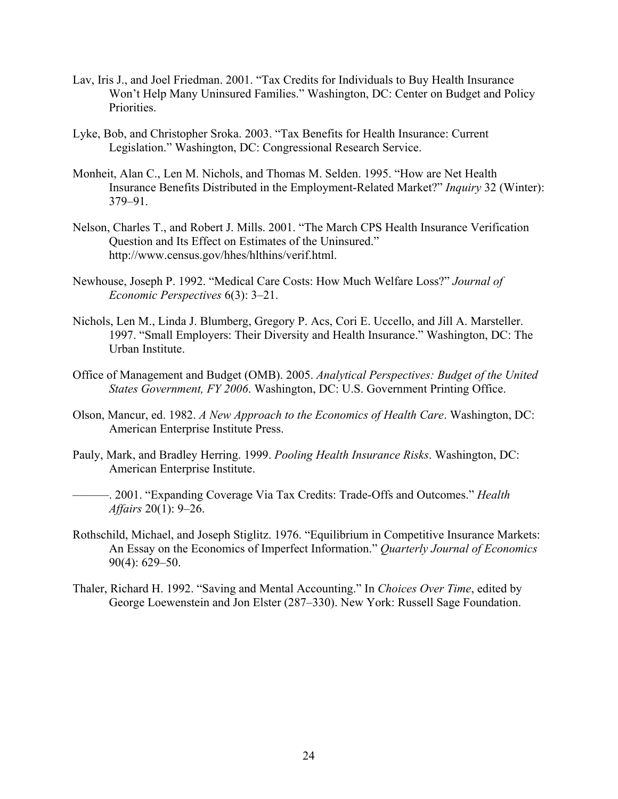- Lav, Iris J., and Joel Friedman. 2001. "Tax Credits for Individuals to Buy Health Insurance Won't Help Many Uninsured Families." Washington, DC: Center on Budget and Policy Priorities.
- Lyke, Bob, and Christopher Sroka. 2003. "Tax Benefits for Health Insurance: Current Legislation." Washington, DC: Congressional Research Service.
- Monheit, Alan C., Len M. Nichols, and Thomas M. Selden. 1995. "How are Net Health Insurance Benefits Distributed in the Employment-Related Market?" *Inquiry* 32 (Winter): 379–91.
- Nelson, Charles T., and Robert J. Mills. 2001. "The March CPS Health Insurance Verification Question and Its Effect on Estimates of the Uninsured." http://www.census.gov/hhes/hlthins/verif.html.
- Newhouse, Joseph P. 1992. "Medical Care Costs: How Much Welfare Loss?" *Journal of Economic Perspectives* 6(3): 3–21.
- Nichols, Len M., Linda J. Blumberg, Gregory P. Acs, Cori E. Uccello, and Jill A. Marsteller. 1997. "Small Employers: Their Diversity and Health Insurance." Washington, DC: The Urban Institute.
- Office of Management and Budget (OMB). 2005. *Analytical Perspectives: Budget of the United States Government, FY 2006*. Washington, DC: U.S. Government Printing Office.
- Olson, Mancur, ed. 1982. *A New Approach to the Economics of Health Care*. Washington, DC: American Enterprise Institute Press.
- Pauly, Mark, and Bradley Herring. 1999. *Pooling Health Insurance Risks*. Washington, DC: American Enterprise Institute.
	- ———. 2001. "Expanding Coverage Via Tax Credits: Trade-Offs and Outcomes." *Health Affairs* 20(1): 9–26.
- Rothschild, Michael, and Joseph Stiglitz. 1976. "Equilibrium in Competitive Insurance Markets: An Essay on the Economics of Imperfect Information." *Quarterly Journal of Economics* 90(4): 629–50.
- Thaler, Richard H. 1992. "Saving and Mental Accounting." In *Choices Over Time*, edited by George Loewenstein and Jon Elster (287–330). New York: Russell Sage Foundation.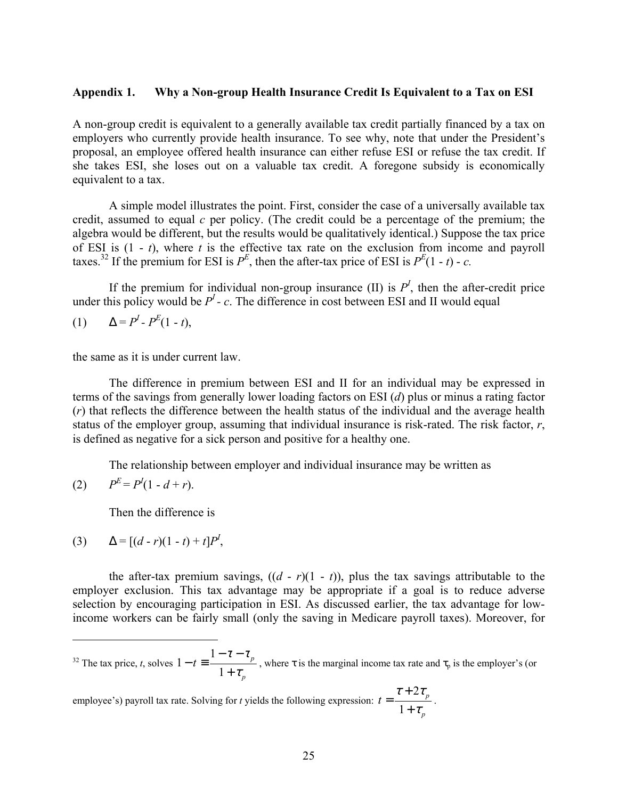#### **Appendix 1. Why a Non-group Health Insurance Credit Is Equivalent to a Tax on ESI**

A non-group credit is equivalent to a generally available tax credit partially financed by a tax on employers who currently provide health insurance. To see why, note that under the President's proposal, an employee offered health insurance can either refuse ESI or refuse the tax credit. If she takes ESI, she loses out on a valuable tax credit. A foregone subsidy is economically equivalent to a tax.

A simple model illustrates the point. First, consider the case of a universally available tax credit, assumed to equal *c* per policy. (The credit could be a percentage of the premium; the algebra would be different, but the results would be qualitatively identical.) Suppose the tax price of ESI is  $(1 - t)$ , where *t* is the effective tax rate on the exclusion from income and payroll taxes.<sup>32</sup> If the premium for ESI is  $P^E$ , then the after-tax price of ESI is  $P^E(1 - t) - c$ .

If the premium for individual non-group insurance  $(II)$  is  $P<sup>I</sup>$ , then the after-credit price under this policy would be  $P<sup>I</sup>$  - c. The difference in cost between ESI and II would equal

$$
(1) \qquad \Delta = P^I \cdot P^E (1-t),
$$

the same as it is under current law.

The difference in premium between ESI and II for an individual may be expressed in terms of the savings from generally lower loading factors on ESI (*d*) plus or minus a rating factor (*r*) that reflects the difference between the health status of the individual and the average health status of the employer group, assuming that individual insurance is risk-rated. The risk factor, *r*, is defined as negative for a sick person and positive for a healthy one.

The relationship between employer and individual insurance may be written as

(2) 
$$
P^E = P^I(1 - d + r).
$$

1

Then the difference is

(3) 
$$
\Delta = [(d-r)(1-t)+t]P^I,
$$

the after-tax premium savings,  $((d - r)(1 - t))$ , plus the tax savings attributable to the employer exclusion. This tax advantage may be appropriate if a goal is to reduce adverse selection by encouraging participation in ESI. As discussed earlier, the tax advantage for lowincome workers can be fairly small (only the saving in Medicare payroll taxes). Moreover, for

32 The tax price, *t*, solves *p*  $t \equiv \frac{1 - \epsilon - \epsilon_p}{1 + \tau_p}$  $\tau-\tau$  $-t \equiv \frac{1-\tau-1}{1+\tau}$  $1 - t \equiv \frac{1}{1 - t}$ , where  $\tau$  is the marginal income tax rate and  $\tau_p$  is the employer's (or

employee's) payroll tax rate. Solving for *t* yields the following expression: *p*  $t = \frac{t+2t_p}{1+\tau_p}$  $\tau + 2\tau$  $= \frac{\tau + 2\tau_p}{1 + \tau_p}.$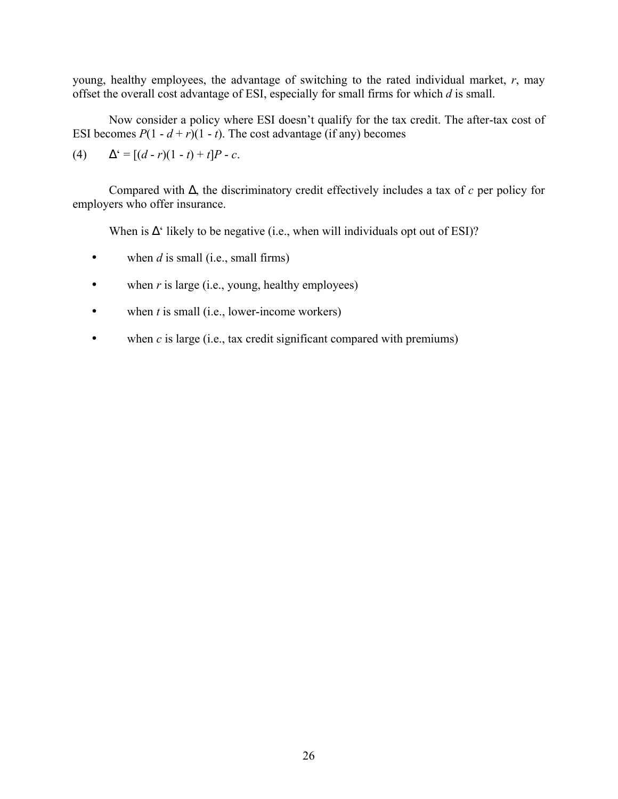young, healthy employees, the advantage of switching to the rated individual market, *r*, may offset the overall cost advantage of ESI, especially for small firms for which *d* is small.

Now consider a policy where ESI doesn't qualify for the tax credit. The after-tax cost of ESI becomes  $P(1 - d + r)(1 - t)$ . The cost advantage (if any) becomes

(4) 
$$
\Delta^c = [(d-r)(1-t)+t]P - c.
$$

Compared with ∆, the discriminatory credit effectively includes a tax of *c* per policy for employers who offer insurance.

When is  $\Delta^{\prime}$  likely to be negative (i.e., when will individuals opt out of ESI)?

- when  $d$  is small (i.e., small firms)
- when *r* is large (i.e., young, healthy employees)
- when *t* is small (i.e., lower-income workers)
- when *c* is large (i.e., tax credit significant compared with premiums)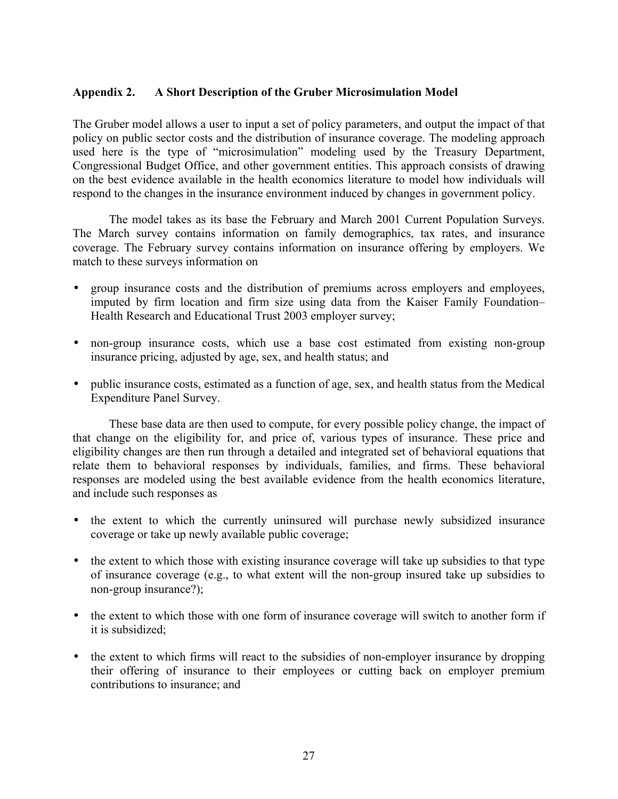# **Appendix 2. A Short Description of the Gruber Microsimulation Model**

The Gruber model allows a user to input a set of policy parameters, and output the impact of that policy on public sector costs and the distribution of insurance coverage. The modeling approach used here is the type of "microsimulation" modeling used by the Treasury Department, Congressional Budget Office, and other government entities. This approach consists of drawing on the best evidence available in the health economics literature to model how individuals will respond to the changes in the insurance environment induced by changes in government policy.

The model takes as its base the February and March 2001 Current Population Surveys. The March survey contains information on family demographics, tax rates, and insurance coverage. The February survey contains information on insurance offering by employers. We match to these surveys information on

- group insurance costs and the distribution of premiums across employers and employees, imputed by firm location and firm size using data from the Kaiser Family Foundation– Health Research and Educational Trust 2003 employer survey;
- non-group insurance costs, which use a base cost estimated from existing non-group insurance pricing, adjusted by age, sex, and health status; and
- public insurance costs, estimated as a function of age, sex, and health status from the Medical Expenditure Panel Survey.

These base data are then used to compute, for every possible policy change, the impact of that change on the eligibility for, and price of, various types of insurance. These price and eligibility changes are then run through a detailed and integrated set of behavioral equations that relate them to behavioral responses by individuals, families, and firms. These behavioral responses are modeled using the best available evidence from the health economics literature, and include such responses as

- the extent to which the currently uninsured will purchase newly subsidized insurance coverage or take up newly available public coverage;
- the extent to which those with existing insurance coverage will take up subsidies to that type of insurance coverage (e.g., to what extent will the non-group insured take up subsidies to non-group insurance?);
- the extent to which those with one form of insurance coverage will switch to another form if it is subsidized;
- the extent to which firms will react to the subsidies of non-employer insurance by dropping their offering of insurance to their employees or cutting back on employer premium contributions to insurance; and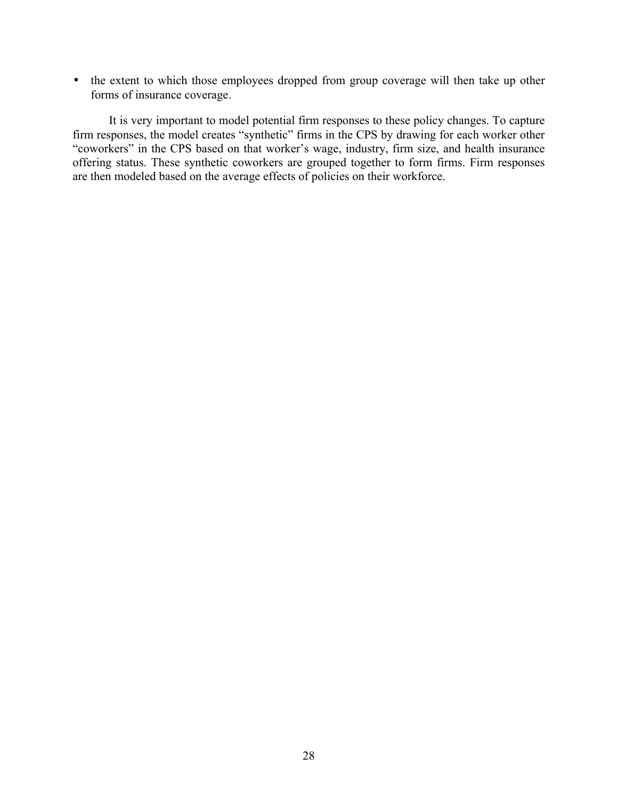• the extent to which those employees dropped from group coverage will then take up other forms of insurance coverage.

It is very important to model potential firm responses to these policy changes. To capture firm responses, the model creates "synthetic" firms in the CPS by drawing for each worker other "coworkers" in the CPS based on that worker's wage, industry, firm size, and health insurance offering status. These synthetic coworkers are grouped together to form firms. Firm responses are then modeled based on the average effects of policies on their workforce.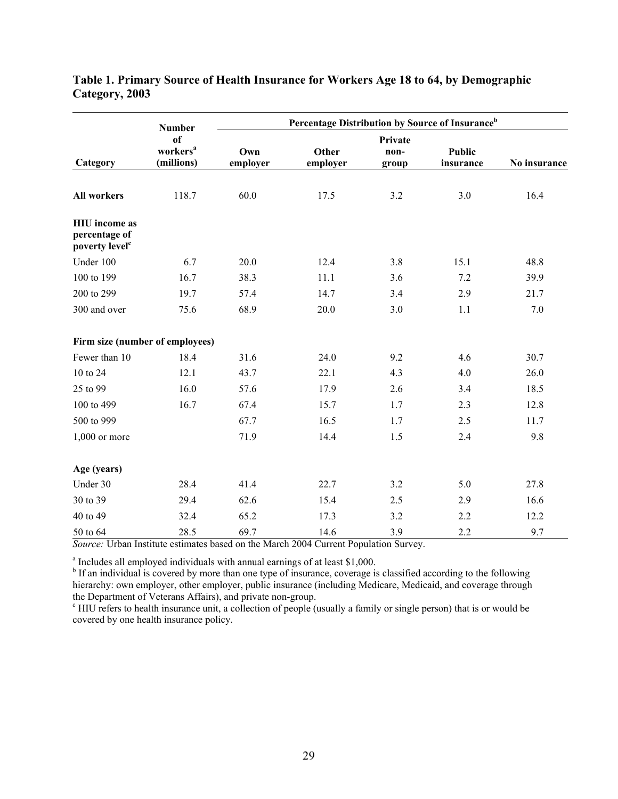|                                                                     | <b>Number</b>                                       |                 | Percentage Distribution by Source of Insurance <sup>b</sup> |                          |                            |              |
|---------------------------------------------------------------------|-----------------------------------------------------|-----------------|-------------------------------------------------------------|--------------------------|----------------------------|--------------|
| Category                                                            | <sub>of</sub><br>workers <sup>a</sup><br>(millions) | Own<br>employer | Other<br>employer                                           | Private<br>non-<br>group | <b>Public</b><br>insurance | No insurance |
| <b>All workers</b>                                                  | 118.7                                               | 60.0            | 17.5                                                        | 3.2                      | 3.0                        | 16.4         |
| <b>HIU</b> income as<br>percentage of<br>poverty level <sup>c</sup> |                                                     |                 |                                                             |                          |                            |              |
| Under 100                                                           | 6.7                                                 | 20.0            | 12.4                                                        | 3.8                      | 15.1                       | 48.8         |
| 100 to 199                                                          | 16.7                                                | 38.3            | 11.1                                                        | 3.6                      | 7.2                        | 39.9         |
| 200 to 299                                                          | 19.7                                                | 57.4            | 14.7                                                        | 3.4                      | 2.9                        | 21.7         |
| 300 and over                                                        | 75.6                                                | 68.9            | 20.0                                                        | 3.0                      | 1.1                        | 7.0          |
| Firm size (number of employees)                                     |                                                     |                 |                                                             |                          |                            |              |
| Fewer than 10                                                       | 18.4                                                | 31.6            | 24.0                                                        | 9.2                      | 4.6                        | 30.7         |
| 10 to 24                                                            | 12.1                                                | 43.7            | 22.1                                                        | 4.3                      | 4.0                        | 26.0         |
| 25 to 99                                                            | 16.0                                                | 57.6            | 17.9                                                        | 2.6                      | 3.4                        | 18.5         |
| 100 to 499                                                          | 16.7                                                | 67.4            | 15.7                                                        | 1.7                      | 2.3                        | 12.8         |
| 500 to 999                                                          |                                                     | 67.7            | 16.5                                                        | 1.7                      | 2.5                        | 11.7         |
| $1,000$ or more                                                     |                                                     | 71.9            | 14.4                                                        | 1.5                      | 2.4                        | 9.8          |
| Age (years)                                                         |                                                     |                 |                                                             |                          |                            |              |
| Under 30                                                            | 28.4                                                | 41.4            | 22.7                                                        | 3.2                      | 5.0                        | 27.8         |
| 30 to 39                                                            | 29.4                                                | 62.6            | 15.4                                                        | 2.5                      | 2.9                        | 16.6         |
| 40 to 49                                                            | 32.4                                                | 65.2            | 17.3                                                        | 3.2                      | 2.2                        | 12.2         |
| 50 to 64                                                            | 28.5                                                | 69.7            | 14.6                                                        | 3.9                      | 2.2                        | 9.7          |

# **Table 1. Primary Source of Health Insurance for Workers Age 18 to 64, by Demographic Category, 2003**

*Source:* Urban Institute estimates based on the March 2004 Current Population Survey.

<sup>a</sup> Includes all employed individuals with annual earnings of at least \$1,000.

<sup>b</sup> If an individual is covered by more than one type of insurance, coverage is classified according to the following hierarchy: own employer, other employer, public insurance (including Medicare, Medicaid, and coverage through the Department of Veterans Affairs), and private non-group.

<sup>c</sup> HIU refers to health insurance unit, a collection of people (usually a family or single person) that is or would be covered by one health insurance policy.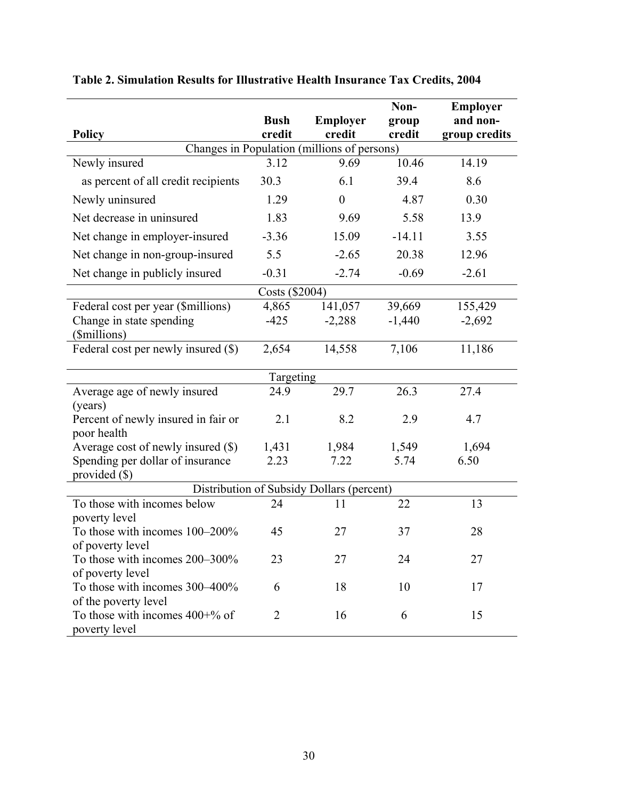|                                             |                |                                                 | Non-     | <b>Employer</b> |  |  |  |
|---------------------------------------------|----------------|-------------------------------------------------|----------|-----------------|--|--|--|
|                                             | <b>Bush</b>    | <b>Employer</b>                                 | group    | and non-        |  |  |  |
| <b>Policy</b>                               | credit         | credit                                          | credit   | group credits   |  |  |  |
| Changes in Population (millions of persons) |                |                                                 |          |                 |  |  |  |
| Newly insured                               | 3.12           | 9.69                                            | 10.46    | 14.19           |  |  |  |
| as percent of all credit recipients         | 30.3           | 6.1                                             | 39.4     | 8.6             |  |  |  |
| Newly uninsured                             | 1.29           | $\overline{0}$                                  | 4.87     | 0.30            |  |  |  |
| Net decrease in uninsured                   | 1.83           | 9.69                                            | 5.58     | 13.9            |  |  |  |
| Net change in employer-insured              | $-3.36$        | 15.09                                           | $-14.11$ | 3.55            |  |  |  |
| Net change in non-group-insured             | 5.5            | $-2.65$                                         | 20.38    | 12.96           |  |  |  |
| Net change in publicly insured              | $-0.31$        | $-2.74$                                         | $-0.69$  | $-2.61$         |  |  |  |
|                                             | Costs (\$2004) |                                                 |          |                 |  |  |  |
| Federal cost per year (\$millions)          | 4,865          | 141,057                                         | 39,669   | 155,429         |  |  |  |
| Change in state spending                    | $-425$         | $-2,288$                                        | $-1,440$ | $-2,692$        |  |  |  |
| (\$millions)                                |                |                                                 |          |                 |  |  |  |
| Federal cost per newly insured (\$)         | 2,654          | 14,558                                          | 7,106    | 11,186          |  |  |  |
|                                             | Targeting      |                                                 |          |                 |  |  |  |
| Average age of newly insured                | 24.9           | 29.7                                            | 26.3     | 27.4            |  |  |  |
| (years)                                     |                |                                                 |          |                 |  |  |  |
| Percent of newly insured in fair or         | 2.1            | 8.2                                             | 2.9      | 4.7             |  |  |  |
| poor health                                 |                |                                                 |          |                 |  |  |  |
| Average cost of newly insured $(\$)$        | 1,431          | 1,984                                           | 1,549    | 1,694           |  |  |  |
| Spending per dollar of insurance            | 2.23           | 7.22                                            | 5.74     | 6.50            |  |  |  |
| provided $(\$)$                             |                |                                                 |          |                 |  |  |  |
| To those with incomes below                 | 24             | Distribution of Subsidy Dollars (percent)<br>11 | 22       | 13              |  |  |  |
| poverty level                               |                |                                                 |          |                 |  |  |  |
| To those with incomes 100–200%              | 45             | 27                                              | 37       | 28              |  |  |  |
| of poverty level                            |                |                                                 |          |                 |  |  |  |
| To those with incomes 200–300%              | 23             | 27                                              | 24       | 27              |  |  |  |
| of poverty level                            |                |                                                 |          |                 |  |  |  |
| To those with incomes 300-400%              | 6              | 18                                              | 10       | 17              |  |  |  |
| of the poverty level                        |                |                                                 |          |                 |  |  |  |
| To those with incomes $400+%$ of            | $\overline{2}$ | 16                                              | 6        | 15              |  |  |  |
| poverty level                               |                |                                                 |          |                 |  |  |  |

# **Table 2. Simulation Results for Illustrative Health Insurance Tax Credits, 2004**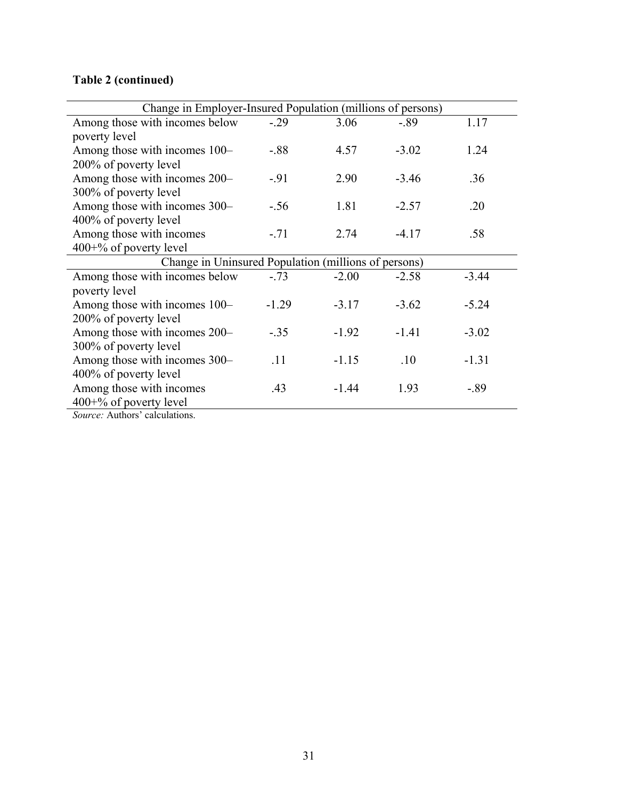# **Table 2 (continued)**

| Change in Employer-Insured Population (millions of persons) |         |         |         |         |
|-------------------------------------------------------------|---------|---------|---------|---------|
| Among those with incomes below                              | $-.29$  | 3.06    | $-.89$  | 1.17    |
| poverty level                                               |         |         |         |         |
| Among those with incomes 100–                               | $-.88$  | 4.57    | $-3.02$ | 1.24    |
| 200% of poverty level                                       |         |         |         |         |
| Among those with incomes 200–                               | $-91$   | 2.90    | $-3.46$ | .36     |
| 300% of poverty level                                       |         |         |         |         |
| Among those with incomes 300–                               | $-.56$  | 1.81    | $-2.57$ | .20     |
| 400% of poverty level                                       |         |         |         |         |
| Among those with incomes                                    | $-.71$  | 2.74    | $-4.17$ | .58     |
| $400+%$ of poverty level                                    |         |         |         |         |
| Change in Uninsured Population (millions of persons)        |         |         |         |         |
| Among those with incomes below                              | $-.73$  | $-2.00$ | $-2.58$ | $-3.44$ |
| poverty level                                               |         |         |         |         |
| Among those with incomes 100–                               | $-1.29$ | $-3.17$ | $-3.62$ | $-5.24$ |
| 200% of poverty level                                       |         |         |         |         |
| Among those with incomes 200–                               | $-.35$  | $-1.92$ | $-1.41$ | $-3.02$ |
| 300% of poverty level                                       |         |         |         |         |
| Among those with incomes 300-                               | .11     | $-1.15$ | .10     | $-1.31$ |
| 400% of poverty level                                       |         |         |         |         |
| Among those with incomes                                    | .43     | $-1.44$ | 1.93    | $-.89$  |
| $400+%$ of poverty level                                    |         |         |         |         |
|                                                             |         |         |         |         |

*Source:* Authors' calculations.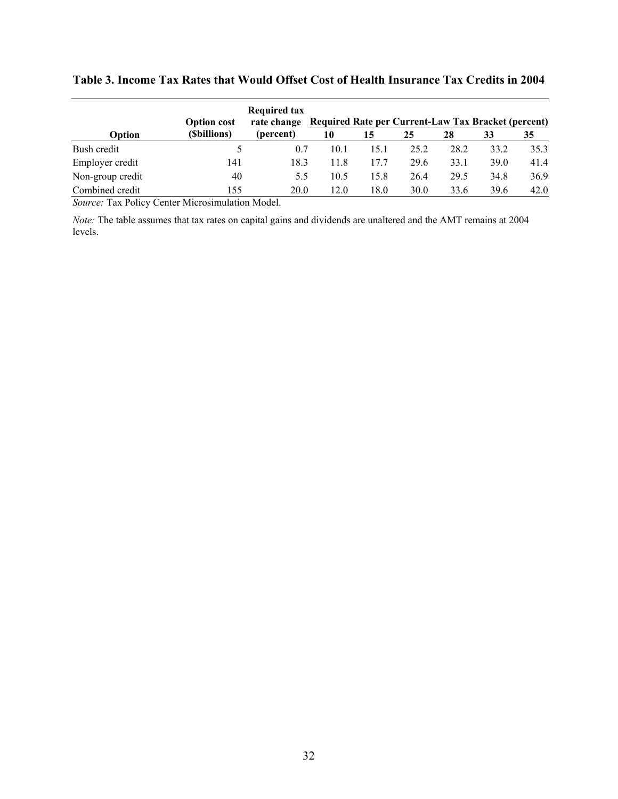|                  | <b>Option cost</b> | <b>Required tax</b><br>rate change | <b>Required Rate per Current-Law Tax Bracket (percent)</b> |      |      |      |      |      |
|------------------|--------------------|------------------------------------|------------------------------------------------------------|------|------|------|------|------|
| Option           | (Sbillions)        | (percent)                          | 10                                                         | 15   | 25   | 28   | 33   | 35   |
| Bush credit      |                    | 0.7                                | 10.1                                                       | 15.1 | 25.2 | 28.2 | 33.2 | 35.3 |
| Employer credit  | 141                | 18.3                               | 11.8                                                       | 17.7 | 29.6 | 33.1 | 39.0 | 41.4 |
| Non-group credit | 40                 | 5.5                                | 10.5                                                       | 15.8 | 26.4 | 29.5 | 34.8 | 36.9 |
| Combined credit  | 155                | 20.0                               | 12.0                                                       | 18.0 | 30.0 | 33.6 | 39.6 | 42.0 |

# **Table 3. Income Tax Rates that Would Offset Cost of Health Insurance Tax Credits in 2004**

*Source:* Tax Policy Center Microsimulation Model.

*Note:* The table assumes that tax rates on capital gains and dividends are unaltered and the AMT remains at 2004 levels.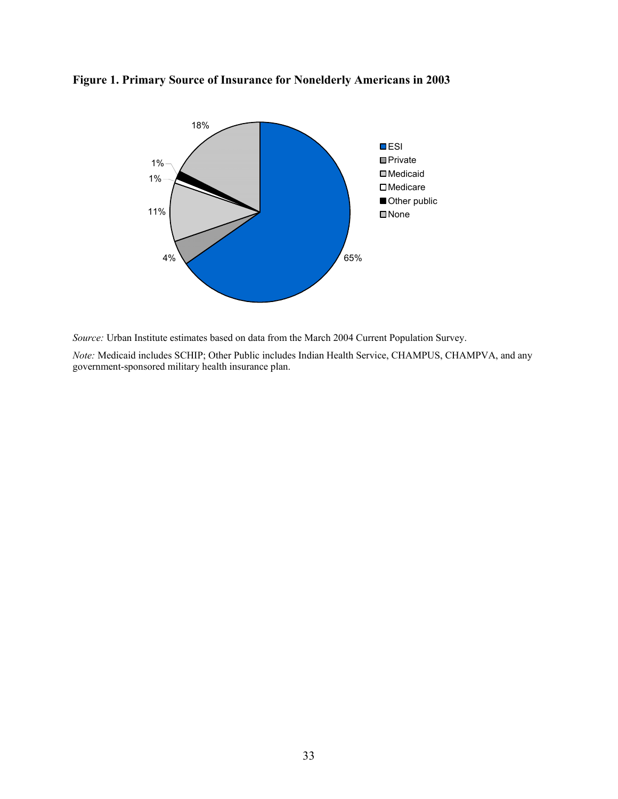

# **Figure 1. Primary Source of Insurance for Nonelderly Americans in 2003**

*Source:* Urban Institute estimates based on data from the March 2004 Current Population Survey.

*Note:* Medicaid includes SCHIP; Other Public includes Indian Health Service, CHAMPUS, CHAMPVA, and any government-sponsored military health insurance plan.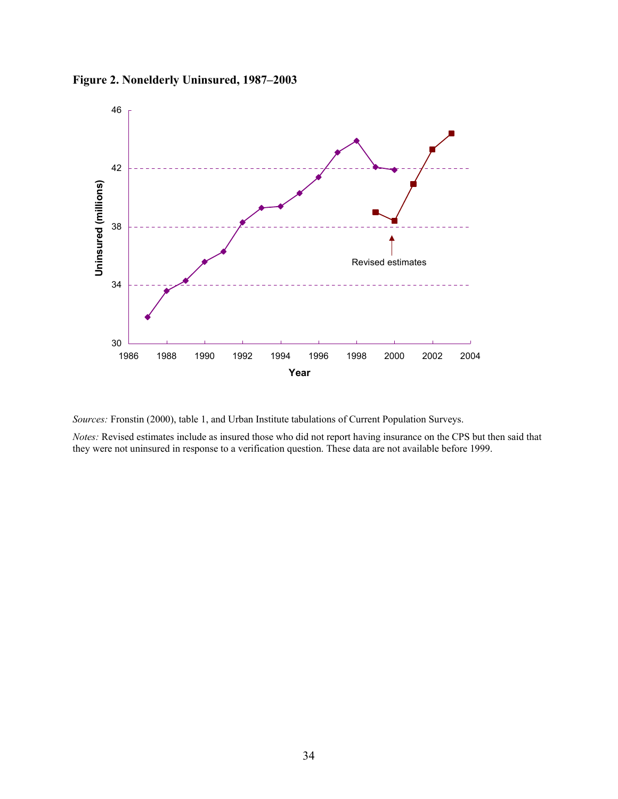



*Sources:* Fronstin (2000), table 1, and Urban Institute tabulations of Current Population Surveys.

*Notes:* Revised estimates include as insured those who did not report having insurance on the CPS but then said that they were not uninsured in response to a verification question. These data are not available before 1999.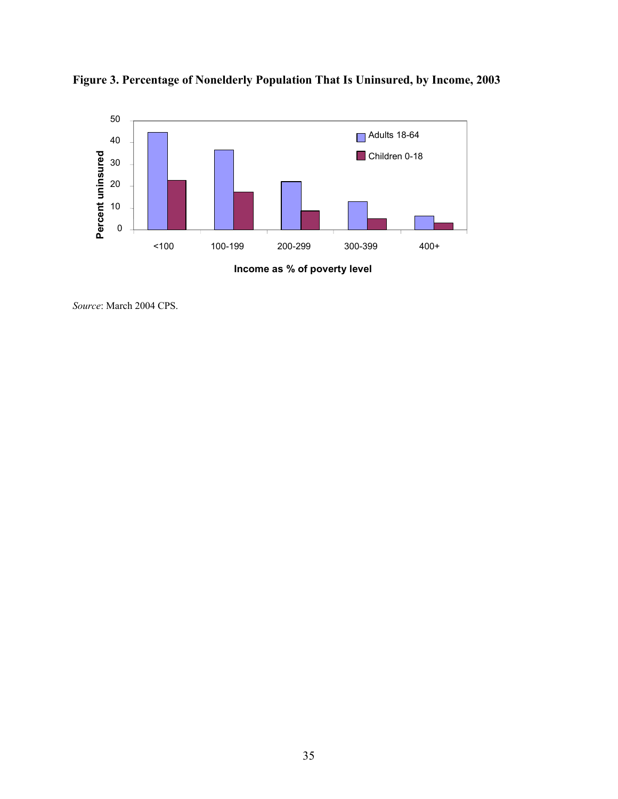

**Figure 3. Percentage of Nonelderly Population That Is Uninsured, by Income, 2003**

**Income as % of poverty level**

*Source*: March 2004 CPS.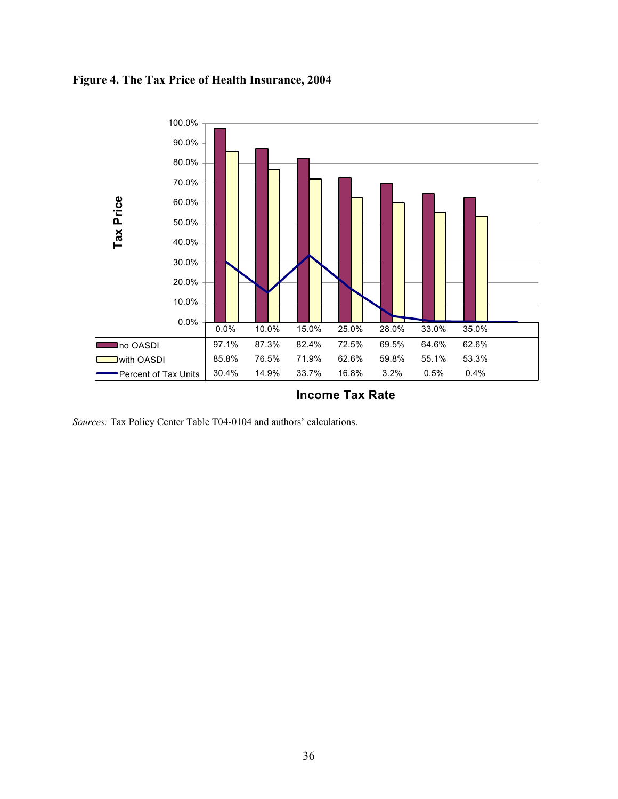# **Figure 4. The Tax Price of Health Insurance, 2004**



**Income Tax Rate**

*Sources:* Tax Policy Center Table T04-0104 and authors' calculations.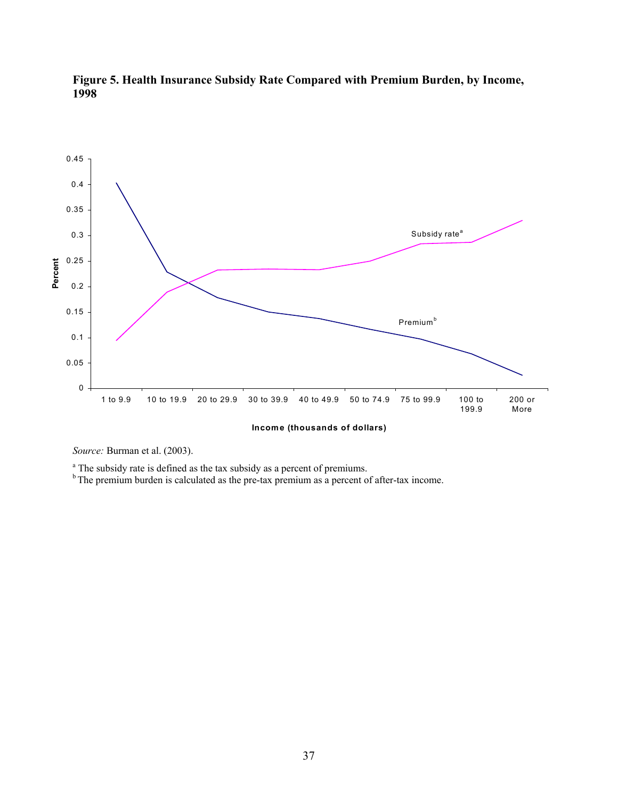



*Source:* Burman et al. (2003).

<sup>a</sup> The subsidy rate is defined as the tax subsidy as a percent of premiums.

 $b<sup>b</sup>$  The premium burden is calculated as the pre-tax premium as a percent of after-tax income.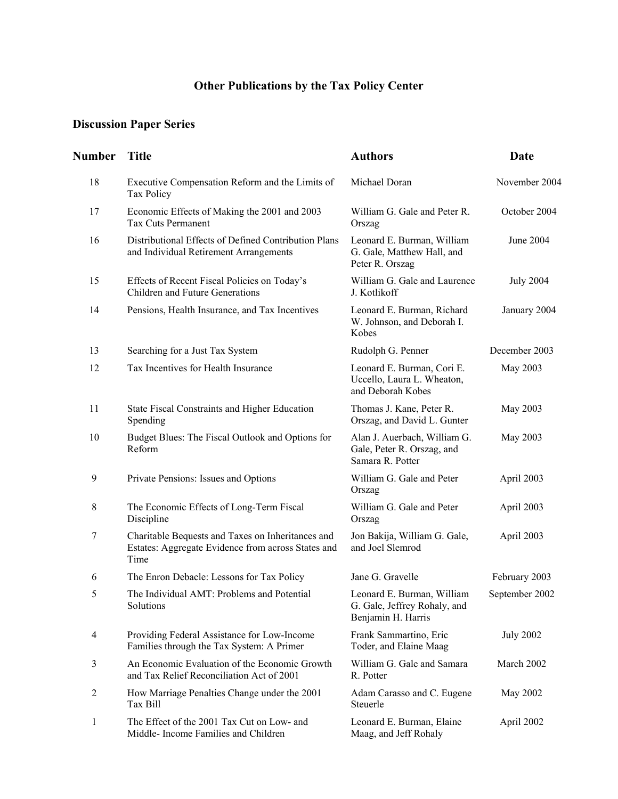# **Other Publications by the Tax Policy Center**

# **Discussion Paper Series**

| Number         | <b>Title</b>                                                                                                    | <b>Authors</b>                                                                   | <b>Date</b>      |
|----------------|-----------------------------------------------------------------------------------------------------------------|----------------------------------------------------------------------------------|------------------|
| 18             | Executive Compensation Reform and the Limits of<br>Tax Policy                                                   | Michael Doran                                                                    | November 2004    |
| 17             | Economic Effects of Making the 2001 and 2003<br><b>Tax Cuts Permanent</b>                                       | William G. Gale and Peter R.<br>Orszag                                           | October 2004     |
| 16             | Distributional Effects of Defined Contribution Plans<br>and Individual Retirement Arrangements                  | Leonard E. Burman, William<br>G. Gale, Matthew Hall, and<br>Peter R. Orszag      | June 2004        |
| 15             | Effects of Recent Fiscal Policies on Today's<br>Children and Future Generations                                 | William G. Gale and Laurence<br>J. Kotlikoff                                     | <b>July 2004</b> |
| 14             | Pensions, Health Insurance, and Tax Incentives                                                                  | Leonard E. Burman, Richard<br>W. Johnson, and Deborah I.<br>Kobes                | January 2004     |
| 13             | Searching for a Just Tax System                                                                                 | Rudolph G. Penner                                                                | December 2003    |
| 12             | Tax Incentives for Health Insurance                                                                             | Leonard E. Burman, Cori E.<br>Uccello, Laura L. Wheaton,<br>and Deborah Kobes    | May 2003         |
| 11             | State Fiscal Constraints and Higher Education<br>Spending                                                       | Thomas J. Kane, Peter R.<br>Orszag, and David L. Gunter                          | May 2003         |
| 10             | Budget Blues: The Fiscal Outlook and Options for<br>Reform                                                      | Alan J. Auerbach, William G.<br>Gale, Peter R. Orszag, and<br>Samara R. Potter   | May 2003         |
| 9              | Private Pensions: Issues and Options                                                                            | William G. Gale and Peter<br>Orszag                                              | April 2003       |
| 8              | The Economic Effects of Long-Term Fiscal<br>Discipline                                                          | William G. Gale and Peter<br>Orszag                                              | April 2003       |
| 7              | Charitable Bequests and Taxes on Inheritances and<br>Estates: Aggregate Evidence from across States and<br>Time | Jon Bakija, William G. Gale,<br>and Joel Slemrod                                 | April 2003       |
| 6              | The Enron Debacle: Lessons for Tax Policy                                                                       | Jane G. Gravelle                                                                 | February 2003    |
| 5              | The Individual AMT: Problems and Potential<br>Solutions                                                         | Leonard E. Burman, William<br>G. Gale, Jeffrey Rohaly, and<br>Benjamin H. Harris | September 2002   |
| $\overline{4}$ | Providing Federal Assistance for Low-Income<br>Families through the Tax System: A Primer                        | Frank Sammartino, Eric<br>Toder, and Elaine Maag                                 | <b>July 2002</b> |
| 3              | An Economic Evaluation of the Economic Growth<br>and Tax Relief Reconciliation Act of 2001                      | William G. Gale and Samara<br>R. Potter                                          | March 2002       |
| $\overline{2}$ | How Marriage Penalties Change under the 2001<br>Tax Bill                                                        | Adam Carasso and C. Eugene<br>Steuerle                                           | May 2002         |
| 1              | The Effect of the 2001 Tax Cut on Low- and<br>Middle-Income Families and Children                               | Leonard E. Burman, Elaine<br>Maag, and Jeff Rohaly                               | April 2002       |